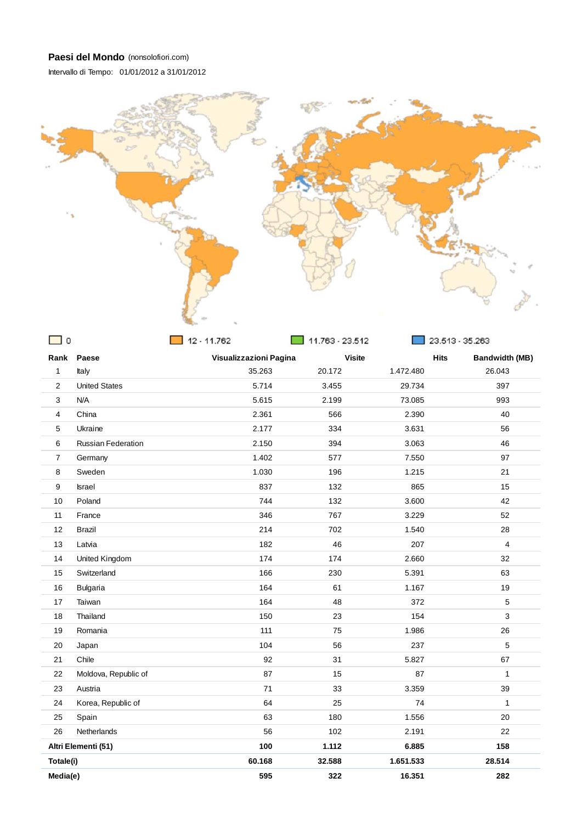



| $\circ$        |                           | 12 - 11.762            | 11.763 - 23.512 |               | 23.513 - 35.263                      |
|----------------|---------------------------|------------------------|-----------------|---------------|--------------------------------------|
| Rank           | Paese                     | Visualizzazioni Pagina |                 | <b>Visite</b> | <b>Hits</b><br><b>Bandwidth (MB)</b> |
| 1              | Italy                     | 35.263                 | 20.172          | 1.472.480     | 26.043                               |
| 2              | <b>United States</b>      | 5.714                  | 3.455           | 29.734        | 397                                  |
| 3              | N/A                       | 5.615                  | 2.199           | 73.085        | 993                                  |
| 4              | China                     | 2.361                  | 566             | 2.390         | 40                                   |
| 5              | Ukraine                   | 2.177                  | 334             | 3.631         | 56                                   |
| 6              | <b>Russian Federation</b> | 2.150                  | 394             | 3.063         | 46                                   |
| $\overline{7}$ | Germany                   | 1.402                  | 577             | 7.550         | 97                                   |
| 8              | Sweden                    | 1.030                  | 196             | 1.215         | 21                                   |
| 9              | <b>Israel</b>             | 837                    | 132             | 865           | 15                                   |
| 10             | Poland                    | 744                    | 132             | 3.600         | 42                                   |
| 11             | France                    | 346                    | 767             | 3.229         | 52                                   |
| 12             | <b>Brazil</b>             | 214                    | 702             | 1.540         | 28                                   |
| 13             | Latvia                    | 182                    | 46              | 207           | $\overline{4}$                       |
| 14             | United Kingdom            | 174                    | 174             | 2.660         | 32                                   |
| 15             | Switzerland               | 166                    | 230             | 5.391         | 63                                   |
| 16             | <b>Bulgaria</b>           | 164                    | 61              | 1.167         | 19                                   |
| 17             | Taiwan                    | 164                    | 48              | 372           | 5                                    |
| 18             | Thailand                  | 150                    | 23              | 154           | 3                                    |
| 19             | Romania                   | 111                    | 75              | 1.986         | 26                                   |
| 20             | Japan                     | 104                    | 56              | 237           | 5                                    |
| 21             | Chile                     | 92                     | 31              | 5.827         | 67                                   |
| 22             | Moldova, Republic of      | 87                     | 15              | 87            | $\mathbf{1}$                         |
| 23             | Austria                   | 71                     | 33              | 3.359         | 39                                   |
| 24             | Korea, Republic of        | 64                     | 25              | 74            | $\mathbf{1}$                         |
| 25             | Spain                     | 63                     | 180             | 1.556         | 20                                   |
| 26             | Netherlands               | 56                     | 102             | 2.191         | 22                                   |
|                | Altri Elementi (51)       | 100                    | 1.112           | 6.885         | 158                                  |
| Totale(i)      |                           | 60.168                 | 32.588          | 1.651.533     | 28.514                               |
| Media(e)       |                           | 595                    | 322             | 16.351        | 282                                  |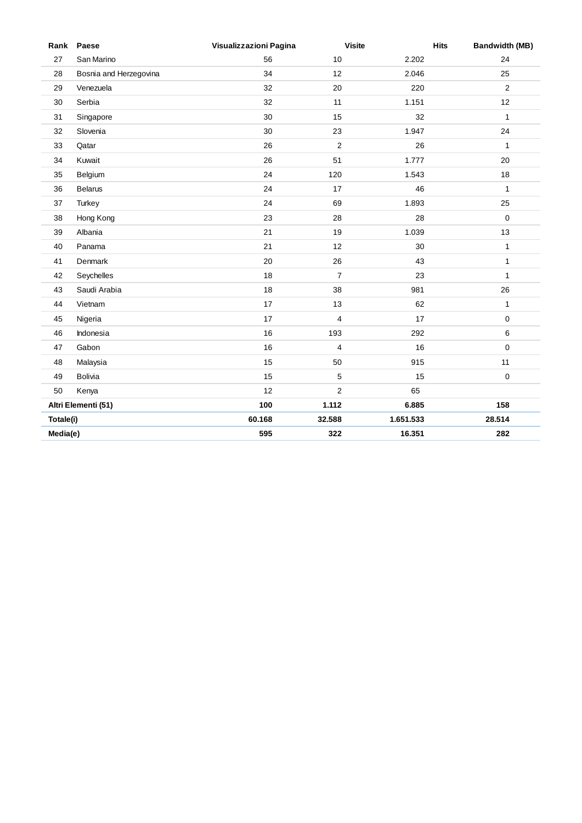| Rank      | Paese                  | Visualizzazioni Pagina | <b>Visite</b>  | <b>Hits</b> | <b>Bandwidth (MB)</b> |
|-----------|------------------------|------------------------|----------------|-------------|-----------------------|
| 27        | San Marino             | 56                     | 10             | 2.202       | 24                    |
| 28        | Bosnia and Herzegovina | 34                     | 12             | 2.046       | 25                    |
| 29        | Venezuela              | 32                     | 20             | 220         | 2                     |
| 30        | Serbia                 | 32                     | 11             | 1.151       | 12                    |
| 31        | Singapore              | 30                     | 15             | 32          | $\mathbf{1}$          |
| 32        | Slovenia               | 30                     | 23             | 1.947       | 24                    |
| 33        | Qatar                  | 26                     | 2              | 26          | $\mathbf{1}$          |
| 34        | Kuwait                 | 26                     | 51             | 1.777       | 20                    |
| 35        | Belgium                | 24                     | 120            | 1.543       | 18                    |
| 36        | <b>Belarus</b>         | 24                     | 17             | 46          | $\mathbf{1}$          |
| 37        | Turkey                 | 24                     | 69             | 1.893       | 25                    |
| 38        | Hong Kong              | 23                     | 28             | 28          | $\mathbf 0$           |
| 39        | Albania                | 21                     | 19             | 1.039       | 13                    |
| 40        | Panama                 | 21                     | 12             | 30          | $\mathbf{1}$          |
| 41        | Denmark                | 20                     | 26             | 43          | $\mathbf{1}$          |
| 42        | Seychelles             | 18                     | $\overline{7}$ | 23          | $\mathbf{1}$          |
| 43        | Saudi Arabia           | 18                     | 38             | 981         | 26                    |
| 44        | Vietnam                | 17                     | 13             | 62          | $\mathbf{1}$          |
| 45        | Nigeria                | 17                     | 4              | 17          | 0                     |
| 46        | Indonesia              | 16                     | 193            | 292         | 6                     |
| 47        | Gabon                  | 16                     | $\overline{4}$ | 16          | $\mathbf 0$           |
| 48        | Malaysia               | 15                     | 50             | 915         | 11                    |
| 49        | <b>Bolivia</b>         | 15                     | 5              | 15          | $\mathbf 0$           |
| 50        | Kenya                  | 12                     | $\overline{c}$ | 65          |                       |
|           | Altri Elementi (51)    | 100                    | 1.112          | 6.885       | 158                   |
| Totale(i) |                        | 60.168                 | 32.588         | 1.651.533   | 28.514                |
| Media(e)  |                        | 595                    | 322            | 16.351      | 282                   |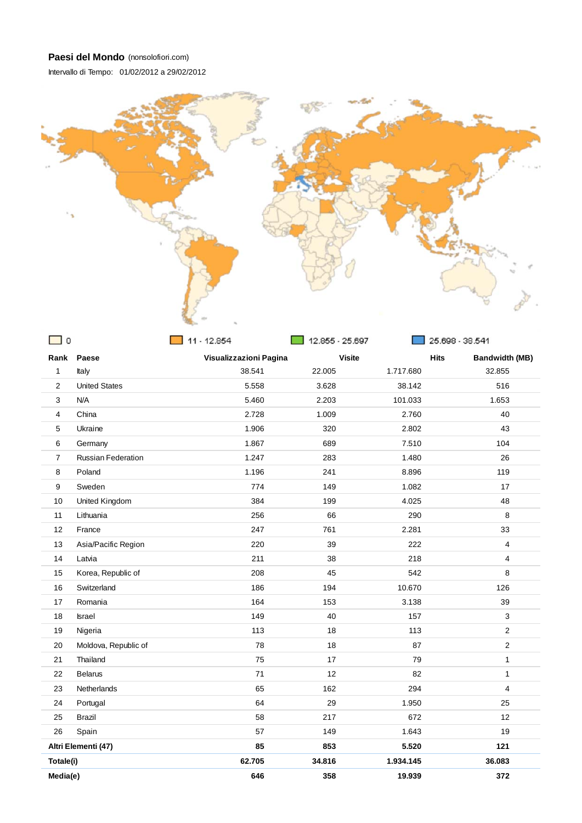Intervallo di Tempo: 01/02/2012 a 29/02/2012



| $\mathbf 0$    |                           | 11 - 12.854            | 12.855 - 25.697 |               | 25.698 - 38.541                      |
|----------------|---------------------------|------------------------|-----------------|---------------|--------------------------------------|
|                | Rank Paese                | Visualizzazioni Pagina |                 | <b>Visite</b> | <b>Hits</b><br><b>Bandwidth (MB)</b> |
| 1              | Italy                     | 38.541                 | 22.005          | 1.717.680     | 32.855                               |
| $\mathbf{2}$   | <b>United States</b>      | 5.558                  | 3.628           | 38.142        | 516                                  |
| 3              | N/A                       | 5.460                  | 2.203           | 101.033       | 1.653                                |
| 4              | China                     | 2.728                  | 1.009           | 2.760         | 40                                   |
| 5              | Ukraine                   | 1.906                  | 320             | 2.802         | 43                                   |
| 6              | Germany                   | 1.867                  | 689             | 7.510         | 104                                  |
| $\overline{7}$ | <b>Russian Federation</b> | 1.247                  | 283             | 1.480         | 26                                   |
| 8              | Poland                    | 1.196                  | 241             | 8.896         | 119                                  |
| 9              | Sweden                    | 774                    | 149             | 1.082         | 17                                   |
| 10             | United Kingdom            | 384                    | 199             | 4.025         | 48                                   |
| 11             | Lithuania                 | 256                    | 66              | 290           | 8                                    |
| 12             | France                    | 247                    | 761             | 2.281         | 33                                   |
| 13             | Asia/Pacific Region       | 220                    | 39              | 222           | $\overline{4}$                       |
| 14             | Latvia                    | 211                    | 38              | 218           | 4                                    |
| 15             | Korea, Republic of        | 208                    | 45              | 542           | 8                                    |
| 16             | Switzerland               | 186                    | 194             | 10.670        | 126                                  |
| 17             | Romania                   | 164                    | 153             | 3.138         | 39                                   |
| 18             | <b>Israel</b>             | 149                    | 40              | 157           | 3                                    |
| 19             | Nigeria                   | 113                    | 18              | 113           | $\overline{2}$                       |
| 20             | Moldova, Republic of      | 78                     | 18              | 87            | $\overline{2}$                       |
| 21             | Thailand                  | 75                     | 17              | 79            | $\mathbf{1}$                         |
| 22             | <b>Belarus</b>            | 71                     | 12              | 82            | $\mathbf{1}$                         |
| 23             | Netherlands               | 65                     | 162             | 294           | 4                                    |
| 24             | Portugal                  | 64                     | 29              | 1.950         | 25                                   |
| 25             | Brazil                    | 58                     | 217             | 672           | 12                                   |
| 26             | Spain                     | 57                     | 149             | 1.643         | 19                                   |
|                | Altri Elementi (47)       | 85                     | 853             | 5.520         | 121                                  |
| Totale(i)      |                           | 62.705                 | 34.816          | 1.934.145     | 36.083                               |
| Media(e)       |                           | 646                    | 358             | 19.939        | 372                                  |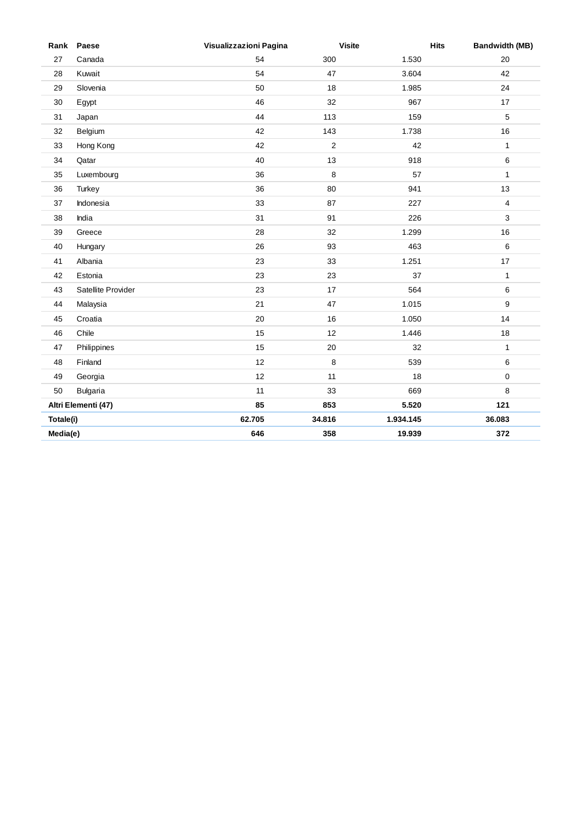| Rank      | Paese               | Visualizzazioni Pagina | <b>Visite</b>  | <b>Hits</b> | <b>Bandwidth (MB)</b> |
|-----------|---------------------|------------------------|----------------|-------------|-----------------------|
| 27        | Canada              | 54                     | 300            | 1.530       | 20                    |
| 28        | Kuwait              | 54                     | 47             | 3.604       | 42                    |
| 29        | Slovenia            | 50                     | 18             | 1.985       | 24                    |
| 30        | Egypt               | 46                     | 32             | 967         | 17                    |
| 31        | Japan               | 44                     | 113            | 159         | 5                     |
| 32        | Belgium             | 42                     | 143            | 1.738       | 16                    |
| 33        | Hong Kong           | 42                     | $\overline{2}$ | 42          | $\mathbf{1}$          |
| 34        | Qatar               | 40                     | 13             | 918         | 6                     |
| 35        | Luxembourg          | 36                     | 8              | 57          | $\mathbf{1}$          |
| 36        | Turkey              | 36                     | 80             | 941         | 13                    |
| 37        | Indonesia           | 33                     | 87             | 227         | $\overline{4}$        |
| 38        | India               | 31                     | 91             | 226         | 3                     |
| 39        | Greece              | 28                     | 32             | 1.299       | 16                    |
| 40        | Hungary             | 26                     | 93             | 463         | 6                     |
| 41        | Albania             | 23                     | 33             | 1.251       | 17                    |
| 42        | Estonia             | 23                     | 23             | 37          | $\mathbf{1}$          |
| 43        | Satellite Provider  | 23                     | 17             | 564         | 6                     |
| 44        | Malaysia            | 21                     | 47             | 1.015       | 9                     |
| 45        | Croatia             | $20\,$                 | 16             | 1.050       | 14                    |
| 46        | Chile               | 15                     | 12             | 1.446       | 18                    |
| 47        | Philippines         | 15                     | 20             | 32          | $\mathbf{1}$          |
| 48        | Finland             | 12                     | 8              | 539         | 6                     |
| 49        | Georgia             | 12                     | 11             | 18          | $\mathbf 0$           |
| 50        | <b>Bulgaria</b>     | 11                     | 33             | 669         | 8                     |
|           | Altri Elementi (47) | 85                     | 853            | 5.520       | 121                   |
| Totale(i) |                     | 62.705                 | 34.816         | 1.934.145   | 36.083                |
| Media(e)  |                     | 646                    | 358            | 19.939      | 372                   |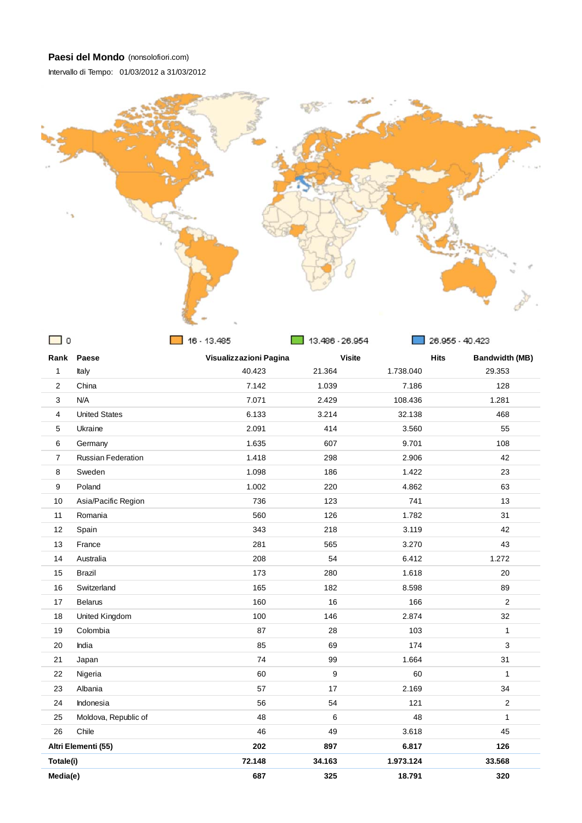Intervallo di Tempo: 01/03/2012 a 31/03/2012



| $\mathbf 0$    |                           | 16 - 13.485            | 13.486 - 26.954 |               | 26.955 - 40.423                      |  |
|----------------|---------------------------|------------------------|-----------------|---------------|--------------------------------------|--|
|                | Rank Paese                | Visualizzazioni Pagina |                 | <b>Visite</b> | <b>Hits</b><br><b>Bandwidth (MB)</b> |  |
| $\mathbf{1}$   | Italy                     | 40.423                 | 21.364          | 1.738.040     | 29.353                               |  |
| 2              | China                     | 7.142                  | 1.039           | 7.186         | 128                                  |  |
| 3              | N/A                       | 7.071                  | 2.429           | 108.436       | 1.281                                |  |
| 4              | <b>United States</b>      | 6.133                  | 3.214           | 32.138        | 468                                  |  |
| 5              | Ukraine                   | 2.091                  | 414             | 3.560         | 55                                   |  |
| 6              | Germany                   | 1.635                  | 607             | 9.701         | 108                                  |  |
| $\overline{7}$ | <b>Russian Federation</b> | 1.418                  | 298             | 2.906         | 42                                   |  |
| 8              | Sweden                    | 1.098                  | 186             | 1.422         | 23                                   |  |
| 9              | Poland                    | 1.002                  | 220             | 4.862         | 63                                   |  |
| 10             | Asia/Pacific Region       | 736                    | 123             | 741           | 13                                   |  |
| 11             | Romania                   | 560                    | 126             | 1.782         | 31                                   |  |
| 12             | Spain                     | 343                    | 218             | 3.119         | 42                                   |  |
| 13             | France                    | 281                    | 565             | 3.270         | 43                                   |  |
| 14             | Australia                 | 208                    | 54              | 6.412         | 1.272                                |  |
| 15             | Brazil                    | 173                    | 280             | 1.618         | 20                                   |  |
| 16             | Switzerland               | 165                    | 182             | 8.598         | 89                                   |  |
| 17             | <b>Belarus</b>            | 160                    | 16              | 166           | 2                                    |  |
| 18             | United Kingdom            | 100                    | 146             | 2.874         | 32                                   |  |
| 19             | Colombia                  | 87                     | 28              | 103           | $\mathbf{1}$                         |  |
| 20             | India                     | 85                     | 69              | 174           | 3                                    |  |
| 21             | Japan                     | 74                     | 99              | 1.664         | 31                                   |  |
| 22             | Nigeria                   | 60                     | 9               | 60            | $\mathbf{1}$                         |  |
| 23             | Albania                   | 57                     | 17              | 2.169         | 34                                   |  |
| 24             | Indonesia                 | 56                     | 54              | 121           | $\overline{2}$                       |  |
| 25             | Moldova, Republic of      | 48                     | 6               | 48            | $\mathbf{1}$                         |  |
| 26             | Chile                     | 46                     | 49              | 3.618         | 45                                   |  |
|                | Altri Elementi (55)       | 202                    | 897             | 6.817         | 126                                  |  |
| Totale(i)      |                           | 72.148                 | 34.163          | 1.973.124     | 33.568                               |  |
| Media(e)       |                           | 687                    | 325             | 18.791        | 320                                  |  |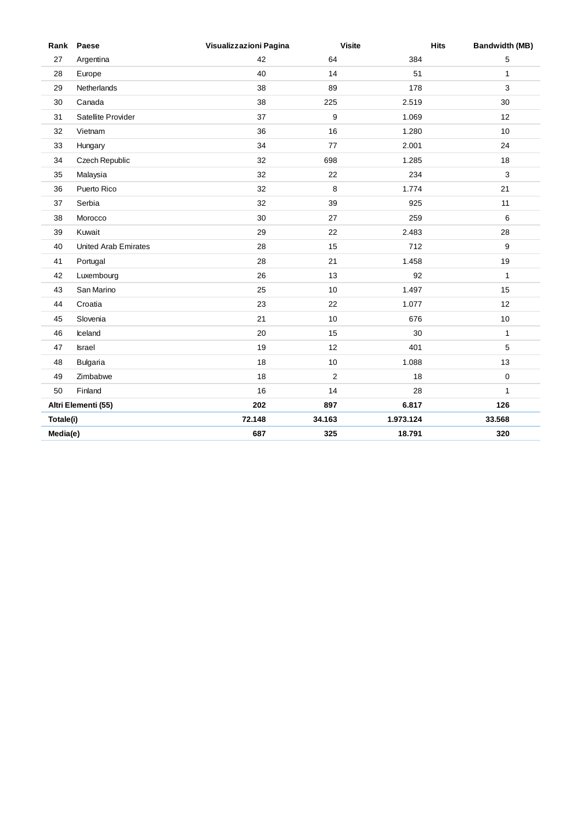| Rank      | Paese                       | Visualizzazioni Pagina | <b>Visite</b> | <b>Hits</b> | <b>Bandwidth (MB)</b> |
|-----------|-----------------------------|------------------------|---------------|-------------|-----------------------|
| 27        | Argentina                   | 42                     | 64            | 384         | 5                     |
| 28        | Europe                      | 40                     | 14            | 51          | $\mathbf{1}$          |
| 29        | Netherlands                 | 38                     | 89            | 178         | 3                     |
| 30        | Canada                      | 38                     | 225           | 2.519       | 30                    |
| 31        | Satellite Provider          | 37                     | 9             | 1.069       | 12                    |
| 32        | Vietnam                     | 36                     | 16            | 1.280       | 10                    |
| 33        | Hungary                     | 34                     | 77            | 2.001       | 24                    |
| 34        | Czech Republic              | 32                     | 698           | 1.285       | 18                    |
| 35        | Malaysia                    | 32                     | 22            | 234         | 3                     |
| 36        | Puerto Rico                 | 32                     | 8             | 1.774       | 21                    |
| 37        | Serbia                      | 32                     | 39            | 925         | 11                    |
| 38        | Morocco                     | 30                     | 27            | 259         | 6                     |
| 39        | Kuwait                      | 29                     | 22            | 2.483       | 28                    |
| 40        | <b>United Arab Emirates</b> | 28                     | 15            | 712         | 9                     |
| 41        | Portugal                    | 28                     | 21            | 1.458       | 19                    |
| 42        | Luxembourg                  | 26                     | 13            | 92          | $\mathbf{1}$          |
| 43        | San Marino                  | 25                     | 10            | 1.497       | 15                    |
| 44        | Croatia                     | 23                     | 22            | 1.077       | 12                    |
| 45        | Slovenia                    | 21                     | 10            | 676         | $10$                  |
| 46        | Iceland                     | 20                     | 15            | 30          | $\mathbf{1}$          |
| 47        | Israel                      | 19                     | 12            | 401         | 5                     |
| 48        | <b>Bulgaria</b>             | 18                     | 10            | 1.088       | 13                    |
| 49        | Zimbabwe                    | 18                     | 2             | 18          | $\mathbf 0$           |
| 50        | Finland                     | 16                     | 14            | 28          | $\mathbf{1}$          |
|           | Altri Elementi (55)         | 202                    | 897           | 6.817       | 126                   |
| Totale(i) |                             | 72.148                 | 34.163        | 1.973.124   | 33.568                |
| Media(e)  |                             | 687                    | 325           | 18.791      | 320                   |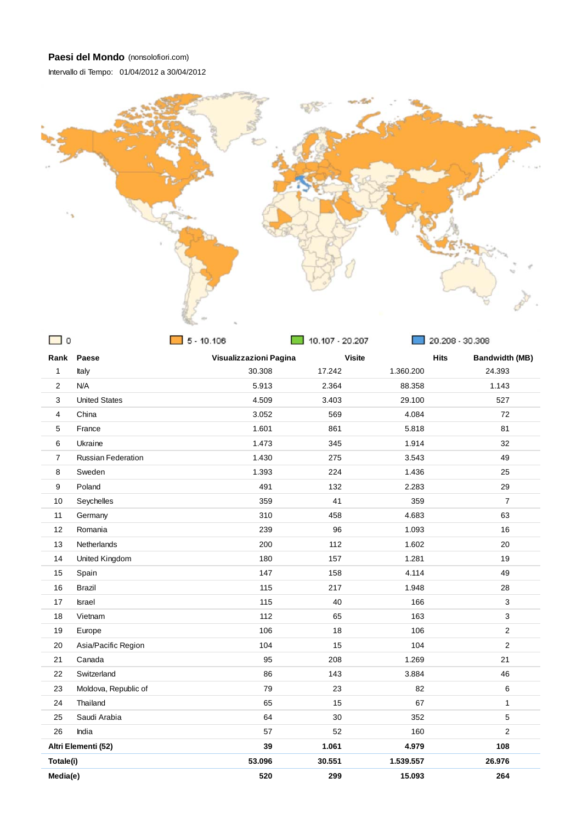Intervallo di Tempo: 01/04/2012 a 30/04/2012



| $\circ$        |                           | $5 - 10.106$           | 10.107 - 20.207 |               | 20.208 - 30.308                      |
|----------------|---------------------------|------------------------|-----------------|---------------|--------------------------------------|
| Rank           | Paese                     | Visualizzazioni Pagina |                 | <b>Visite</b> | <b>Hits</b><br><b>Bandwidth (MB)</b> |
| 1              | Italy                     | 30.308                 | 17.242          | 1.360.200     | 24.393                               |
| $\overline{2}$ | N/A                       | 5.913                  | 2.364           | 88.358        | 1.143                                |
| 3              | <b>United States</b>      | 4.509                  | 3.403           | 29.100        | 527                                  |
| $\overline{4}$ | China                     | 3.052                  | 569             | 4.084         | 72                                   |
| 5              | France                    | 1.601                  | 861             | 5.818         | 81                                   |
| 6              | Ukraine                   | 1.473                  | 345             | 1.914         | 32                                   |
| $\overline{7}$ | <b>Russian Federation</b> | 1.430                  | 275             | 3.543         | 49                                   |
| 8              | Sweden                    | 1.393                  | 224             | 1.436         | 25                                   |
| 9              | Poland                    | 491                    | 132             | 2.283         | 29                                   |
| 10             | Seychelles                | 359                    | 41              | 359           | $\overline{7}$                       |
| 11             | Germany                   | 310                    | 458             | 4.683         | 63                                   |
| 12             | Romania                   | 239                    | 96              | 1.093         | 16                                   |
| 13             | Netherlands               | 200                    | 112             | 1.602         | 20                                   |
| 14             | United Kingdom            | 180                    | 157             | 1.281         | 19                                   |
| 15             | Spain                     | 147                    | 158             | 4.114         | 49                                   |
| 16             | <b>Brazil</b>             | 115                    | 217             | 1.948         | 28                                   |
| 17             | <b>Israel</b>             | 115                    | 40              | 166           | 3                                    |
| 18             | Vietnam                   | 112                    | 65              | 163           | $\mathbf{3}$                         |
| 19             | Europe                    | 106                    | 18              | 106           | $\overline{2}$                       |
| 20             | Asia/Pacific Region       | 104                    | 15              | 104           | $\overline{c}$                       |
| 21             | Canada                    | 95                     | 208             | 1.269         | 21                                   |
| 22             | Switzerland               | 86                     | 143             | 3.884         | 46                                   |
| 23             | Moldova, Republic of      | 79                     | 23              | 82            | 6                                    |
| 24             | Thailand                  | 65                     | 15              | 67            | $\mathbf{1}$                         |
| 25             | Saudi Arabia              | 64                     | 30              | 352           | 5                                    |
| 26             | India                     | 57                     | 52              | 160           | $\overline{2}$                       |
|                | Altri Elementi (52)       | 39                     | 1.061           | 4.979         | 108                                  |
| Totale(i)      |                           | 53.096                 | 30.551          | 1.539.557     | 26.976                               |
| Media(e)       |                           | 520                    | 299             | 15.093        | 264                                  |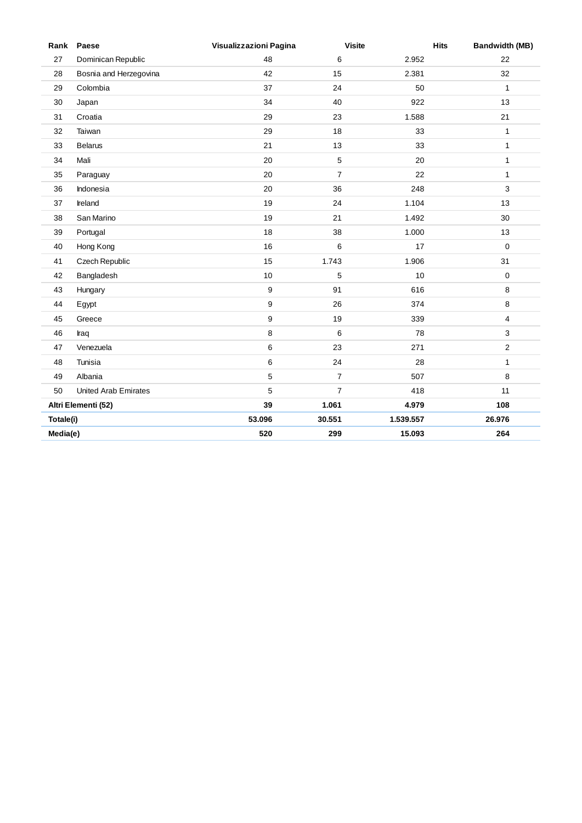| Rank      | Paese                  | Visualizzazioni Pagina | <b>Visite</b>  | <b>Hits</b> | <b>Bandwidth (MB)</b> |
|-----------|------------------------|------------------------|----------------|-------------|-----------------------|
| 27        | Dominican Republic     | 48                     | 6              | 2.952       | 22                    |
| 28        | Bosnia and Herzegovina | 42                     | 15             | 2.381       | 32                    |
| 29        | Colombia               | 37                     | 24             | 50          | $\mathbf{1}$          |
| 30        | Japan                  | 34                     | 40             | 922         | 13                    |
| 31        | Croatia                | 29                     | 23             | 1.588       | 21                    |
| 32        | Taiwan                 | 29                     | 18             | 33          | $\mathbf{1}$          |
| 33        | <b>Belarus</b>         | 21                     | 13             | 33          | $\mathbf{1}$          |
| 34        | Mali                   | 20                     | $\,$ 5 $\,$    | 20          | $\mathbf{1}$          |
| 35        | Paraguay               | 20                     | $\overline{7}$ | 22          | $\mathbf{1}$          |
| 36        | Indonesia              | 20                     | 36             | 248         | 3                     |
| 37        | Ireland                | 19                     | 24             | 1.104       | 13                    |
| 38        | San Marino             | 19                     | 21             | 1.492       | 30                    |
| 39        | Portugal               | 18                     | 38             | 1.000       | 13                    |
| 40        | Hong Kong              | 16                     | 6              | 17          | $\mathbf 0$           |
| 41        | Czech Republic         | 15                     | 1.743          | 1.906       | 31                    |
| 42        | Bangladesh             | $10\,$                 | 5              | 10          | $\pmb{0}$             |
| 43        | Hungary                | 9                      | 91             | 616         | 8                     |
| 44        | Egypt                  | 9                      | 26             | 374         | 8                     |
| 45        | Greece                 | 9                      | 19             | 339         | 4                     |
| 46        | Iraq                   | 8                      | 6              | 78          | 3                     |
| 47        | Venezuela              | 6                      | 23             | 271         | $\sqrt{2}$            |
| 48        | Tunisia                | 6                      | 24             | 28          | $\mathbf{1}$          |
| 49        | Albania                | 5                      | $\overline{7}$ | 507         | 8                     |
| 50        | United Arab Emirates   | 5                      | $\overline{7}$ | 418         | 11                    |
|           | Altri Elementi (52)    | 39                     | 1.061          | 4.979       | 108                   |
| Totale(i) |                        | 53.096                 | 30.551         | 1.539.557   | 26.976                |
| Media(e)  |                        | 520                    | 299            | 15.093      | 264                   |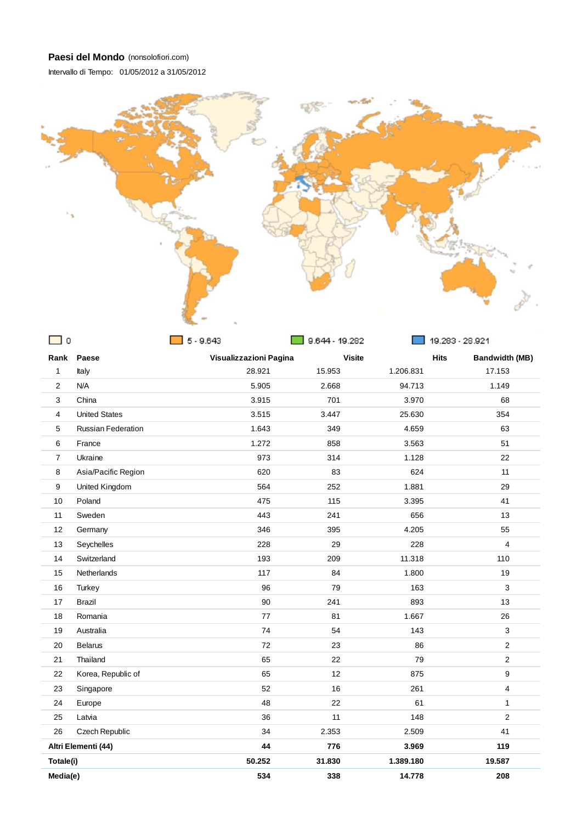Intervallo di Tempo: 01/05/2012 a 31/05/2012



| $\Omega$                |                           | $5 - 9.643$            | 9.644 - 19.282 |           | 19.283 - 28.921                      |
|-------------------------|---------------------------|------------------------|----------------|-----------|--------------------------------------|
| Rank                    | Paese                     | Visualizzazioni Pagina | <b>Visite</b>  |           | <b>Hits</b><br><b>Bandwidth (MB)</b> |
| 1                       | Italy                     | 28.921                 | 15.953         | 1.206.831 | 17.153                               |
| 2                       | N/A                       | 5.905                  | 2.668          | 94.713    | 1.149                                |
| 3                       | China                     | 3.915                  | 701            | 3.970     | 68                                   |
| $\overline{\mathbf{4}}$ | <b>United States</b>      | 3.515                  | 3.447          | 25.630    | 354                                  |
| 5                       | <b>Russian Federation</b> | 1.643                  | 349            | 4.659     | 63                                   |
| 6                       | France                    | 1.272                  | 858            | 3.563     | 51                                   |
| $\overline{7}$          | Ukraine                   | 973                    | 314            | 1.128     | 22                                   |
| 8                       | Asia/Pacific Region       | 620                    | 83             | 624       | 11                                   |
| 9                       | United Kingdom            | 564                    | 252            | 1.881     | 29                                   |
| 10                      | Poland                    | 475                    | 115            | 3.395     | 41                                   |
| 11                      | Sweden                    | 443                    | 241            | 656       | 13                                   |
| 12                      | Germany                   | 346                    | 395            | 4.205     | 55                                   |
| 13                      | Seychelles                | 228                    | 29             | 228       | 4                                    |
| 14                      | Switzerland               | 193                    | 209            | 11.318    | 110                                  |
| 15                      | Netherlands               | 117                    | 84             | 1.800     | 19                                   |
| 16                      | Turkey                    | 96                     | 79             | 163       | $\sqrt{3}$                           |
| 17                      | <b>Brazil</b>             | 90                     | 241            | 893       | 13                                   |
| 18                      | Romania                   | 77                     | 81             | 1.667     | 26                                   |
| 19                      | Australia                 | 74                     | 54             | 143       | 3                                    |
| 20                      | <b>Belarus</b>            | 72                     | 23             | 86        | $\overline{c}$                       |
| 21                      | Thailand                  | 65                     | 22             | 79        | $\overline{2}$                       |
| 22                      | Korea, Republic of        | 65                     | 12             | 875       | 9                                    |
| 23                      | Singapore                 | 52                     | 16             | 261       | 4                                    |
| 24                      | Europe                    | 48                     | 22             | 61        | $\mathbf{1}$                         |
| 25                      | Latvia                    | 36                     | 11             | 148       | $\overline{2}$                       |
| 26                      | Czech Republic            | 34                     | 2.353          | 2.509     | 41                                   |
|                         | Altri Elementi (44)       | 44                     | 776            | 3.969     | 119                                  |
| Totale(i)               |                           | 50.252                 | 31.830         | 1.389.180 | 19.587                               |
| Media(e)                |                           | 534                    | 338            | 14.778    | 208                                  |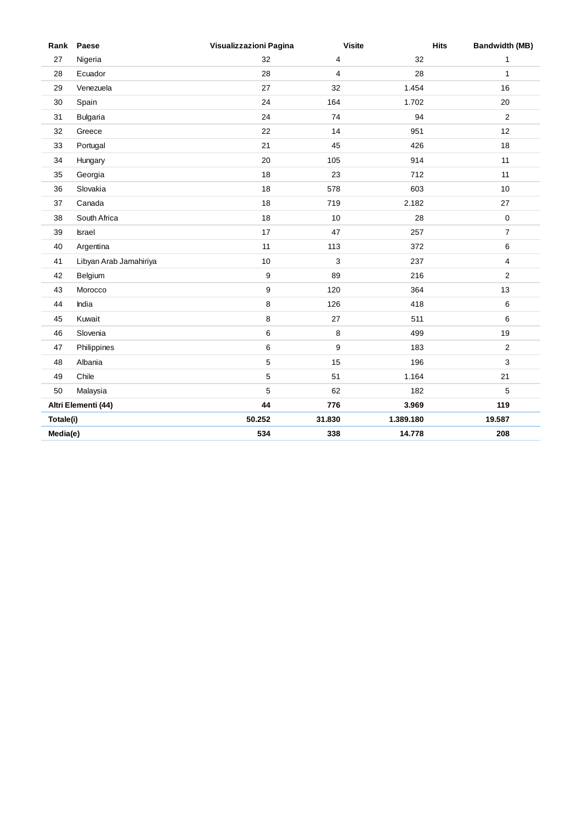|           | Rank Paese             | Visualizzazioni Pagina | <b>Visite</b> | <b>Hits</b> | <b>Bandwidth (MB)</b>   |
|-----------|------------------------|------------------------|---------------|-------------|-------------------------|
| 27        | Nigeria                | 32                     | 4             | 32          | 1                       |
| 28        | Ecuador                | 28                     | 4             | 28          | $\mathbf{1}$            |
| 29        | Venezuela              | 27                     | 32            | 1.454       | 16                      |
| 30        | Spain                  | 24                     | 164           | 1.702       | 20                      |
| 31        | <b>Bulgaria</b>        | 24                     | 74            | 94          | $\overline{2}$          |
| 32        | Greece                 | 22                     | 14            | 951         | 12                      |
| 33        | Portugal               | 21                     | 45            | 426         | 18                      |
| 34        | Hungary                | 20                     | 105           | 914         | 11                      |
| 35        | Georgia                | 18                     | 23            | 712         | 11                      |
| 36        | Slovakia               | 18                     | 578           | 603         | 10                      |
| 37        | Canada                 | 18                     | 719           | 2.182       | 27                      |
| 38        | South Africa           | 18                     | 10            | 28          | $\mathbf 0$             |
| 39        | Israel                 | 17                     | 47            | 257         | $\boldsymbol{7}$        |
| 40        | Argentina              | 11                     | 113           | 372         | 6                       |
| 41        | Libyan Arab Jamahiriya | 10                     | 3             | 237         | 4                       |
| 42        | Belgium                | $\boldsymbol{9}$       | 89            | 216         | $\overline{\mathbf{c}}$ |
| 43        | Morocco                | 9                      | 120           | 364         | 13                      |
| 44        | India                  | $\bf 8$                | 126           | 418         | 6                       |
| 45        | Kuwait                 | $\bf 8$                | 27            | 511         | 6                       |
| 46        | Slovenia               | $\,6\,$                | 8             | 499         | 19                      |
| 47        | Philippines            | $\,6\,$                | 9             | 183         | $\overline{2}$          |
| 48        | Albania                | $\,$ 5 $\,$            | 15            | 196         | 3                       |
| 49        | Chile                  | 5                      | 51            | 1.164       | 21                      |
| 50        | Malaysia               | 5                      | 62            | 182         | 5                       |
|           | Altri Elementi (44)    | 44                     | 776           | 3.969       | 119                     |
| Totale(i) |                        | 50.252                 | 31.830        | 1.389.180   | 19.587                  |
| Media(e)  |                        | 534                    | 338           | 14.778      | 208                     |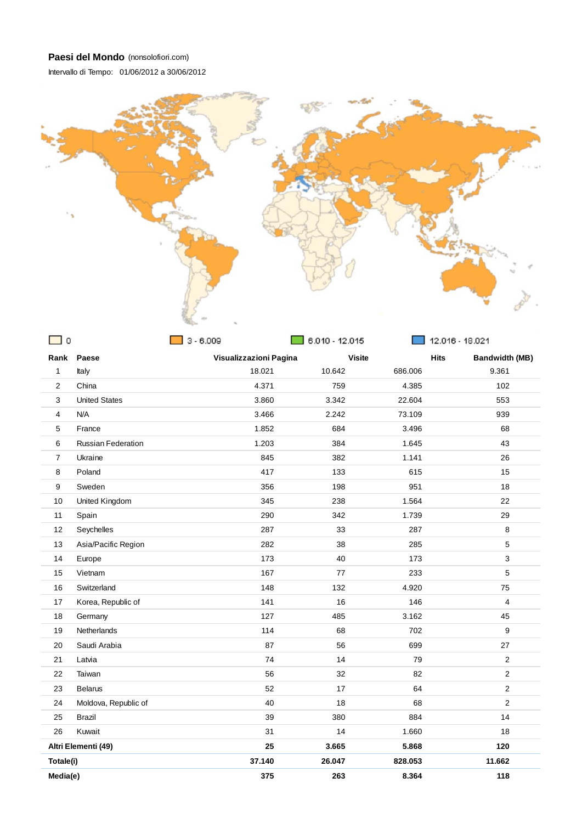Intervallo di Tempo: 01/06/2012 a 30/06/2012



| $\mathbf 0$             |                      | $3 - 6.009$            | $6.010 - 12.015$ |               | 12.016 - 18.021                      |  |
|-------------------------|----------------------|------------------------|------------------|---------------|--------------------------------------|--|
|                         | Rank Paese           | Visualizzazioni Pagina |                  | <b>Visite</b> | <b>Hits</b><br><b>Bandwidth (MB)</b> |  |
| 1                       | Italy                | 18.021                 | 10.642           | 686.006       | 9.361                                |  |
| $\overline{\mathbf{c}}$ | China                | 4.371                  | 759              | 4.385         | 102                                  |  |
| 3                       | <b>United States</b> | 3.860                  | 3.342            | 22.604        | 553                                  |  |
| 4                       | N/A                  | 3.466                  | 2.242            | 73.109        | 939                                  |  |
| 5                       | France               | 1.852                  | 684              | 3.496         | 68                                   |  |
| 6                       | Russian Federation   | 1.203                  | 384              | 1.645         | 43                                   |  |
| $\overline{7}$          | Ukraine              | 845                    | 382              | 1.141         | 26                                   |  |
| 8                       | Poland               | 417                    | 133              | 615           | 15                                   |  |
| 9                       | Sweden               | 356                    | 198              | 951           | 18                                   |  |
| 10                      | United Kingdom       | 345                    | 238              | 1.564         | 22                                   |  |
| 11                      | Spain                | 290                    | 342              | 1.739         | 29                                   |  |
| 12                      | Seychelles           | 287                    | 33               | 287           | 8                                    |  |
| 13                      | Asia/Pacific Region  | 282                    | 38               | 285           | 5                                    |  |
| 14                      | Europe               | 173                    | 40               | 173           | 3                                    |  |
| 15                      | Vietnam              | 167                    | 77               | 233           | 5                                    |  |
| 16                      | Switzerland          | 148                    | 132              | 4.920         | 75                                   |  |
| 17                      | Korea, Republic of   | 141                    | 16               | 146           | 4                                    |  |
| 18                      | Germany              | 127                    | 485              | 3.162         | 45                                   |  |
| 19                      | <b>Netherlands</b>   | 114                    | 68               | 702           | 9                                    |  |
| 20                      | Saudi Arabia         | 87                     | 56               | 699           | 27                                   |  |
| 21                      | Latvia               | 74                     | 14               | 79            | $\overline{2}$                       |  |
| 22                      | Taiwan               | 56                     | 32               | 82            | $\overline{2}$                       |  |
| 23                      | <b>Belarus</b>       | 52                     | 17               | 64            | $\overline{2}$                       |  |
| 24                      | Moldova, Republic of | 40                     | 18               | 68            | $\overline{2}$                       |  |
| 25                      | <b>Brazil</b>        | 39                     | 380              | 884           | 14                                   |  |
| 26                      | Kuwait               | 31                     | 14               | 1.660         | 18                                   |  |
|                         | Altri Elementi (49)  | 25                     | 3.665            | 5.868         | 120                                  |  |
| Totale(i)               |                      | 37.140                 | 26.047           | 828.053       | 11.662                               |  |
| Media(e)                |                      | 375                    | 263              | 8.364         | 118                                  |  |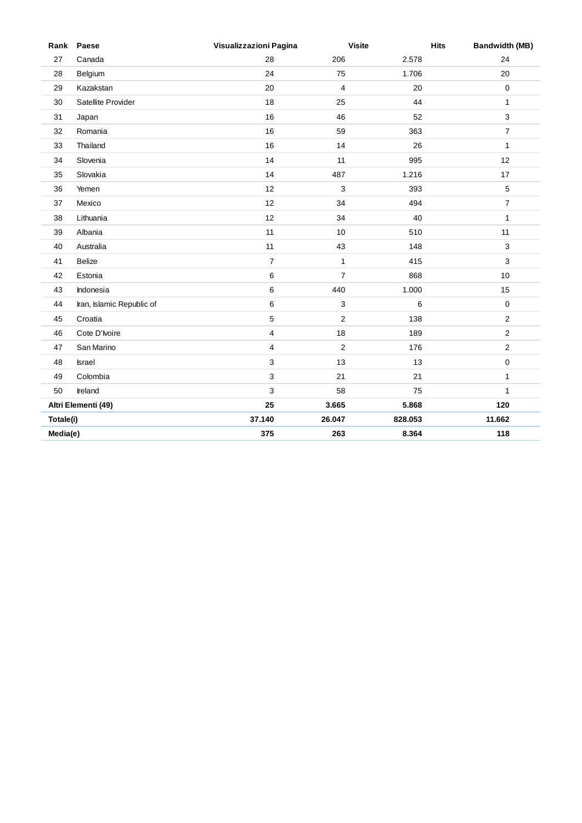|           | Rank Paese                | Visualizzazioni Pagina  | <b>Visite</b>  | <b>Hits</b> | <b>Bandwidth (MB)</b> |
|-----------|---------------------------|-------------------------|----------------|-------------|-----------------------|
| 27        | Canada                    | 28                      | 206            | 2.578       | 24                    |
| 28        | Belgium                   | 24                      | 75             | 1.706       | 20                    |
| 29        | Kazakstan                 | 20                      | 4              | 20          | 0                     |
| 30        | Satellite Provider        | 18                      | 25             | 44          | $\mathbf{1}$          |
| 31        | Japan                     | 16                      | 46             | 52          | $\mathbf{3}$          |
| 32        | Romania                   | 16                      | 59             | 363         | $\boldsymbol{7}$      |
| 33        | Thailand                  | 16                      | 14             | 26          | $\mathbf{1}$          |
| 34        | Slovenia                  | 14                      | 11             | 995         | 12                    |
| 35        | Slovakia                  | 14                      | 487            | 1.216       | 17                    |
| 36        | Yemen                     | 12                      | 3              | 393         | 5                     |
| 37        | Mexico                    | 12                      | 34             | 494         | $\overline{7}$        |
| 38        | Lithuania                 | 12                      | 34             | 40          | $\mathbf{1}$          |
| 39        | Albania                   | 11                      | 10             | 510         | 11                    |
| 40        | Australia                 | 11                      | 43             | 148         | 3                     |
| 41        | <b>Belize</b>             | $\boldsymbol{7}$        | $\mathbf{1}$   | 415         | 3                     |
| 42        | Estonia                   | 6                       | $\overline{7}$ | 868         | 10                    |
| 43        | Indonesia                 | 6                       | 440            | 1.000       | 15                    |
| 44        | Iran, Islamic Republic of | 6                       | 3              | 6           | $\mathbf 0$           |
| 45        | Croatia                   | $\mathbf 5$             | $\overline{c}$ | 138         | $\overline{c}$        |
| 46        | Cote D'Ivoire             | $\overline{\mathbf{4}}$ | 18             | 189         | $\overline{2}$        |
| 47        | San Marino                | 4                       | 2              | 176         | $\sqrt{2}$            |
| 48        | <b>Israel</b>             | $\mathsf 3$             | 13             | 13          | 0                     |
| 49        | Colombia                  | 3                       | 21             | 21          | $\mathbf{1}$          |
| 50        | Ireland                   | 3                       | 58             | 75          | 1                     |
|           | Altri Elementi (49)       | 25                      | 3.665          | 5.868       | 120                   |
| Totale(i) |                           | 37.140                  | 26.047         | 828.053     | 11.662                |
| Media(e)  |                           | 375                     | 263            | 8.364       | 118                   |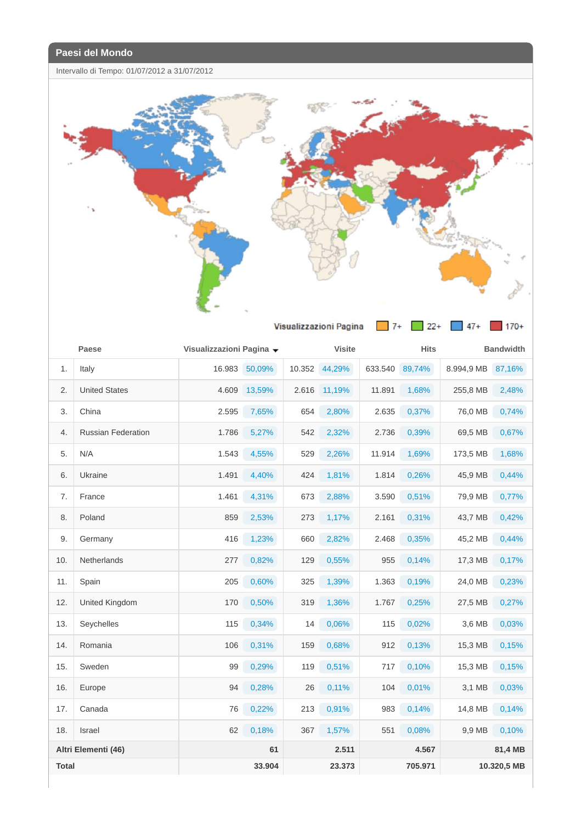1

Intervallo di Tempo: 01/07/2012 a 31/07/2012



|              | Paese                     | Visualizzazioni Pagina v |        |        | <b>Visite</b> |         | <b>Hits</b> |            | <b>Bandwidth</b> |
|--------------|---------------------------|--------------------------|--------|--------|---------------|---------|-------------|------------|------------------|
| 1.           | Italy                     | 16.983                   | 50,09% | 10.352 | 44,29%        | 633.540 | 89,74%      | 8.994,9 MB | 87,16%           |
| 2.           | <b>United States</b>      | 4.609                    | 13,59% | 2.616  | 11,19%        | 11.891  | 1,68%       | 255,8 MB   | 2,48%            |
| 3.           | China                     | 2.595                    | 7,65%  | 654    | 2,80%         | 2.635   | 0,37%       | 76,0 MB    | 0,74%            |
| 4.           | <b>Russian Federation</b> | 1.786                    | 5,27%  | 542    | 2,32%         | 2.736   | 0,39%       | 69,5 MB    | 0,67%            |
| 5.           | N/A                       | 1.543                    | 4,55%  | 529    | 2,26%         | 11.914  | 1,69%       | 173,5 MB   | 1,68%            |
| 6.           | Ukraine                   | 1.491                    | 4,40%  | 424    | 1,81%         | 1.814   | 0,26%       | 45,9 MB    | 0,44%            |
| 7.           | France                    | 1.461                    | 4,31%  | 673    | 2,88%         | 3.590   | 0,51%       | 79,9 MB    | 0,77%            |
| 8.           | Poland                    | 859                      | 2,53%  | 273    | 1,17%         | 2.161   | 0,31%       | 43,7 MB    | 0,42%            |
| 9.           | Germany                   | 416                      | 1,23%  | 660    | 2,82%         | 2.468   | 0,35%       | 45,2 MB    | 0,44%            |
| 10.          | <b>Netherlands</b>        | 277                      | 0,82%  | 129    | 0,55%         | 955     | 0,14%       | 17,3 MB    | 0,17%            |
| 11.          | Spain                     | 205                      | 0,60%  | 325    | 1,39%         | 1.363   | 0,19%       | 24,0 MB    | 0,23%            |
| 12.          | United Kingdom            | 170                      | 0,50%  | 319    | 1,36%         | 1.767   | 0,25%       | 27,5 MB    | 0,27%            |
| 13.          | Seychelles                | 115                      | 0,34%  | 14     | 0,06%         | 115     | 0,02%       | 3,6 MB     | 0,03%            |
| 14.          | Romania                   | 106                      | 0,31%  | 159    | 0,68%         | 912     | 0,13%       | 15,3 MB    | 0,15%            |
| 15.          | Sweden                    | 99                       | 0,29%  | 119    | 0,51%         | 717     | 0,10%       | 15,3 MB    | 0,15%            |
| 16.          | Europe                    | 94                       | 0,28%  | 26     | 0,11%         | 104     | 0,01%       | 3,1 MB     | 0,03%            |
| 17.          | Canada                    | 76                       | 0,22%  | 213    | 0,91%         | 983     | 0,14%       | 14,8 MB    | 0,14%            |
| 18.          | <b>Israel</b>             | 62                       | 0,18%  | 367    | 1,57%         | 551     | 0,08%       | 9,9 MB     | 0,10%            |
|              | Altri Elementi (46)       |                          | 61     |        | 2.511         |         | 4.567       |            | 81,4 MB          |
| <b>Total</b> |                           |                          | 33.904 |        | 23.373        |         | 705.971     |            | 10.320,5 MB      |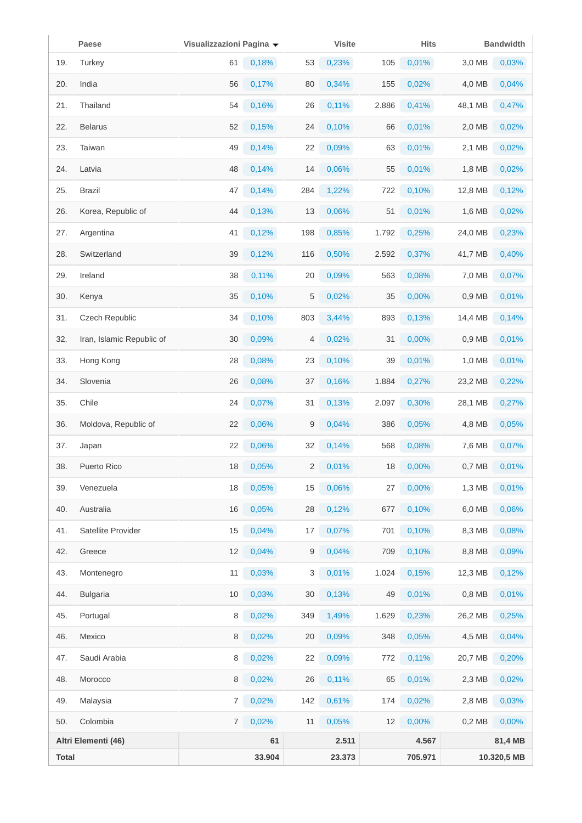|              | Paese                     | Visualizzazioni Pagina v |        |     | <b>Visite</b> |       | <b>Hits</b> |          | <b>Bandwidth</b> |
|--------------|---------------------------|--------------------------|--------|-----|---------------|-------|-------------|----------|------------------|
| 19.          | Turkey                    | 61                       | 0,18%  | 53  | 0,23%         | 105   | 0,01%       | 3,0 MB   | 0,03%            |
| 20.          | India                     | 56                       | 0,17%  | 80  | 0,34%         | 155   | 0,02%       | 4,0 MB   | 0,04%            |
| 21.          | Thailand                  | 54                       | 0,16%  | 26  | 0,11%         | 2.886 | 0,41%       | 48,1 MB  | 0,47%            |
| 22.          | <b>Belarus</b>            | 52                       | 0,15%  | 24  | 0,10%         | 66    | 0,01%       | 2,0 MB   | 0,02%            |
| 23.          | Taiwan                    | 49                       | 0,14%  | 22  | 0,09%         | 63    | 0,01%       | 2,1 MB   | 0,02%            |
| 24.          | Latvia                    | 48                       | 0,14%  | 14  | 0,06%         | 55    | 0,01%       | 1,8 MB   | 0,02%            |
| 25.          | <b>Brazil</b>             | 47                       | 0,14%  | 284 | 1,22%         | 722   | 0,10%       | 12,8 MB  | 0,12%            |
| 26.          | Korea, Republic of        | 44                       | 0,13%  | 13  | 0,06%         | 51    | 0,01%       | 1,6 MB   | 0,02%            |
| 27.          | Argentina                 | 41                       | 0,12%  | 198 | 0,85%         | 1.792 | 0,25%       | 24,0 MB  | 0,23%            |
| 28.          | Switzerland               | 39                       | 0,12%  | 116 | 0,50%         | 2.592 | 0,37%       | 41,7 MB  | 0,40%            |
| 29.          | Ireland                   | 38                       | 0,11%  | 20  | 0,09%         | 563   | 0,08%       | 7,0 MB   | 0,07%            |
| 30.          | Kenya                     | 35                       | 0,10%  | 5   | 0,02%         | 35    | 0,00%       | 0,9 MB   | 0,01%            |
| 31.          | Czech Republic            | 34                       | 0,10%  | 803 | 3,44%         | 893   | 0,13%       | 14,4 MB  | 0,14%            |
| 32.          | Iran, Islamic Republic of | 30                       | 0,09%  | 4   | 0,02%         | 31    | 0,00%       | 0,9 MB   | 0,01%            |
| 33.          | Hong Kong                 | 28                       | 0,08%  | 23  | 0,10%         | 39    | 0,01%       | 1,0 MB   | 0,01%            |
| 34.          | Slovenia                  | 26                       | 0,08%  | 37  | 0,16%         | 1.884 | 0,27%       | 23,2 MB  | 0,22%            |
| 35.          | Chile                     | 24                       | 0,07%  | 31  | 0,13%         | 2.097 | 0,30%       | 28,1 MB  | 0,27%            |
| 36.          | Moldova, Republic of      | 22                       | 0,06%  | 9   | 0,04%         | 386   | 0,05%       | 4,8 MB   | 0,05%            |
| 37.          | Japan                     | 22                       | 0,06%  | 32  | 0,14%         | 568   | 0,08%       | 7,6 MB   | 0,07%            |
| 38.          | Puerto Rico               | 18                       | 0,05%  | 2   | 0,01%         | 18    | 0,00%       | 0,7 MB   | 0,01%            |
| 39.          | Venezuela                 | 18                       | 0,05%  | 15  | 0,06%         | 27    | 0,00%       | 1,3 MB   | 0,01%            |
| 40.          | Australia                 | 16                       | 0,05%  | 28  | 0,12%         | 677   | 0,10%       | 6,0 MB   | 0,06%            |
| 41.          | Satellite Provider        | 15                       | 0,04%  | 17  | 0,07%         | 701   | 0,10%       | 8,3 MB   | 0,08%            |
| 42.          | Greece                    | 12                       | 0,04%  | 9   | 0,04%         | 709   | 0,10%       | 8,8 MB   | 0,09%            |
| 43.          | Montenegro                | 11                       | 0,03%  | 3   | 0,01%         | 1.024 | 0,15%       | 12,3 MB  | 0,12%            |
| 44.          | <b>Bulgaria</b>           | 10                       | 0,03%  | 30  | 0,13%         | 49    | 0,01%       | 0,8 MB   | 0,01%            |
| 45.          | Portugal                  | 8                        | 0,02%  | 349 | 1,49%         | 1.629 | 0,23%       | 26,2 MB  | 0,25%            |
| 46.          | Mexico                    | 8                        | 0,02%  | 20  | 0,09%         | 348   | 0,05%       | 4,5 MB   | 0,04%            |
| 47.          | Saudi Arabia              | 8                        | 0,02%  | 22  | 0,09%         | 772   | $0,11\%$    | 20,7 MB  | 0,20%            |
| 48.          | Morocco                   | 8                        | 0,02%  | 26  | 0,11%         | 65    | 0,01%       | 2,3 MB   | 0,02%            |
| 49.          | Malaysia                  | $\overline{7}$           | 0,02%  | 142 | 0,61%         | 174   | 0,02%       | 2,8 MB   | 0,03%            |
| 50.          | Colombia                  | $\overline{7}$           | 0,02%  | 11  | 0,05%         | 12    | 0,00%       | $0,2$ MB | 0,00%            |
|              | Altri Elementi (46)       |                          | 61     |     | 2.511         |       | 4.567       |          | 81,4 MB          |
| <b>Total</b> |                           |                          | 33.904 |     | 23.373        |       | 705.971     |          | 10.320,5 MB      |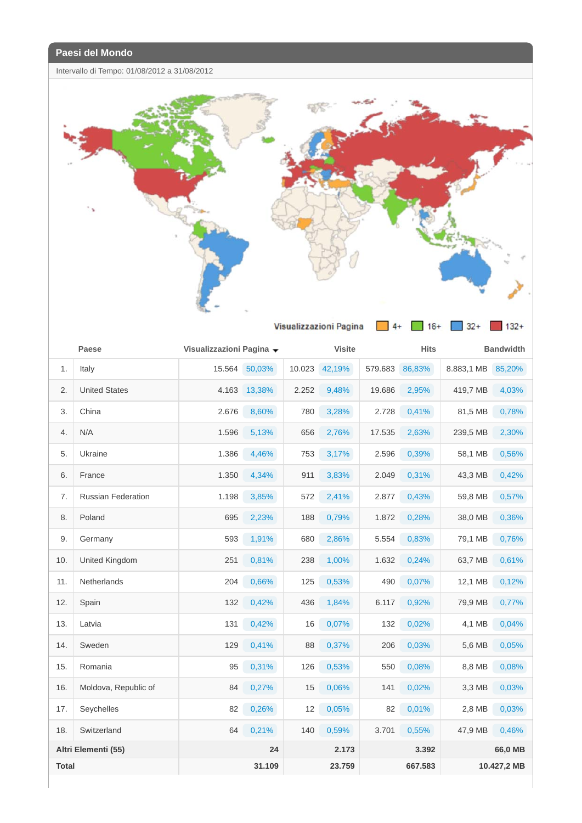Intervallo di Tempo: 01/08/2012 a 31/08/2012



|              | Paese                 | Visualizzazioni Pagina ▼ |        |        | <b>Visite</b> |         | <b>Hits</b> |            | <b>Bandwidth</b> |
|--------------|-----------------------|--------------------------|--------|--------|---------------|---------|-------------|------------|------------------|
| 1.           | Italy                 | 15.564                   | 50,03% | 10.023 | 42,19%        | 579.683 | 86,83%      | 8.883,1 MB | 85,20%           |
| 2.           | <b>United States</b>  | 4.163                    | 13,38% | 2.252  | 9,48%         | 19.686  | 2,95%       | 419,7 MB   | 4,03%            |
| 3.           | China                 | 2.676                    | 8,60%  | 780    | 3,28%         | 2.728   | 0,41%       | 81,5 MB    | 0,78%            |
| 4.           | N/A                   | 1.596                    | 5,13%  | 656    | 2,76%         | 17.535  | 2,63%       | 239,5 MB   | 2,30%            |
| 5.           | Ukraine               | 1.386                    | 4,46%  | 753    | 3,17%         | 2.596   | 0,39%       | 58,1 MB    | 0,56%            |
| 6.           | France                | 1.350                    | 4,34%  | 911    | 3,83%         | 2.049   | 0,31%       | 43,3 MB    | 0,42%            |
| 7.           | Russian Federation    | 1.198                    | 3,85%  | 572    | 2,41%         | 2.877   | 0,43%       | 59,8 MB    | 0,57%            |
| 8.           | Poland                | 695                      | 2,23%  | 188    | 0,79%         | 1.872   | 0,28%       | 38,0 MB    | 0,36%            |
| 9.           | Germany               | 593                      | 1,91%  | 680    | 2,86%         | 5.554   | 0,83%       | 79,1 MB    | 0,76%            |
| 10.          | <b>United Kingdom</b> | 251                      | 0,81%  | 238    | 1,00%         | 1.632   | 0,24%       | 63,7 MB    | 0,61%            |
| 11.          | <b>Netherlands</b>    | 204                      | 0,66%  | 125    | 0,53%         | 490     | 0,07%       | 12,1 MB    | 0,12%            |
| 12.          | Spain                 | 132                      | 0,42%  | 436    | 1,84%         | 6.117   | 0,92%       | 79,9 MB    | 0,77%            |
| 13.          | Latvia                | 131                      | 0,42%  | 16     | 0,07%         | 132     | 0,02%       | 4,1 MB     | 0,04%            |
| 14.          | Sweden                | 129                      | 0,41%  | 88     | 0,37%         | 206     | 0,03%       | 5,6 MB     | 0,05%            |
| 15.          | Romania               | 95                       | 0,31%  | 126    | 0,53%         | 550     | 0,08%       | 8,8 MB     | 0,08%            |
| 16.          | Moldova, Republic of  | 84                       | 0,27%  | 15     | 0,06%         | 141     | 0,02%       | 3.3 MB     | 0,03%            |
| 17.          | Seychelles            | 82                       | 0,26%  | 12     | 0,05%         | 82      | 0,01%       | 2,8 MB     | 0,03%            |
| 18.          | Switzerland           | 64                       | 0,21%  | 140    | 0,59%         | 3.701   | 0,55%       | 47,9 MB    | 0,46%            |
|              | Altri Elementi (55)   |                          | 24     |        | 2.173         |         | 3.392       |            | 66,0 MB          |
| <b>Total</b> |                       |                          | 31.109 |        | 23.759        |         | 667.583     |            | 10.427,2 MB      |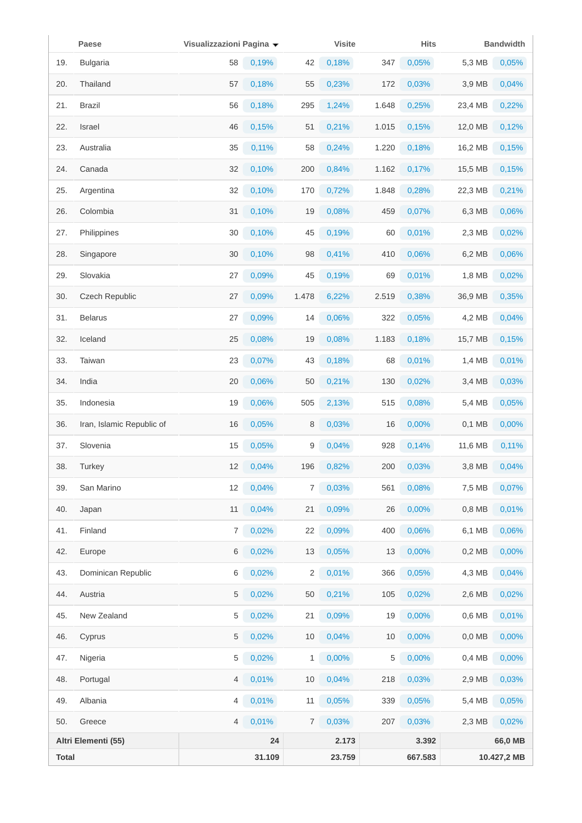|              | Paese                     | Visualizzazioni Pagina v |        |       | <b>Visite</b> |       | <b>Hits</b> |          | <b>Bandwidth</b> |
|--------------|---------------------------|--------------------------|--------|-------|---------------|-------|-------------|----------|------------------|
| 19.          | <b>Bulgaria</b>           | 58                       | 0,19%  | 42    | 0,18%         | 347   | 0,05%       | 5,3 MB   | 0,05%            |
| 20.          | Thailand                  | 57                       | 0,18%  | 55    | 0,23%         | 172   | 0,03%       | 3,9 MB   | 0,04%            |
| 21.          | <b>Brazil</b>             | 56                       | 0,18%  | 295   | 1,24%         | 1.648 | 0,25%       | 23,4 MB  | 0,22%            |
| 22.          | Israel                    | 46                       | 0,15%  | 51    | 0,21%         | 1.015 | 0,15%       | 12,0 MB  | 0,12%            |
| 23.          | Australia                 | 35                       | 0,11%  | 58    | 0,24%         | 1.220 | 0,18%       | 16,2 MB  | 0,15%            |
| 24.          | Canada                    | 32                       | 0,10%  | 200   | 0,84%         | 1.162 | 0,17%       | 15,5 MB  | 0,15%            |
| 25.          | Argentina                 | 32                       | 0,10%  | 170   | 0,72%         | 1.848 | 0,28%       | 22,3 MB  | 0,21%            |
| 26.          | Colombia                  | 31                       | 0,10%  | 19    | 0,08%         | 459   | 0,07%       | 6,3 MB   | 0,06%            |
| 27.          | Philippines               | 30                       | 0,10%  | 45    | 0,19%         | 60    | 0,01%       | 2,3 MB   | 0,02%            |
| 28.          | Singapore                 | 30                       | 0,10%  | 98    | 0,41%         | 410   | 0,06%       | 6,2 MB   | 0,06%            |
| 29.          | Slovakia                  | 27                       | 0,09%  | 45    | 0,19%         | 69    | 0,01%       | 1,8 MB   | 0,02%            |
| 30.          | <b>Czech Republic</b>     | 27                       | 0,09%  | 1.478 | 6,22%         | 2.519 | 0,38%       | 36,9 MB  | 0,35%            |
| 31.          | <b>Belarus</b>            | 27                       | 0,09%  | 14    | 0,06%         | 322   | 0,05%       | 4,2 MB   | 0,04%            |
| 32.          | Iceland                   | 25                       | 0,08%  | 19    | 0,08%         | 1.183 | 0,18%       | 15,7 MB  | 0,15%            |
| 33.          | Taiwan                    | 23                       | 0,07%  | 43    | 0,18%         | 68    | 0,01%       | 1,4 MB   | 0,01%            |
| 34.          | India                     | 20                       | 0,06%  | 50    | 0,21%         | 130   | 0,02%       | 3,4 MB   | 0,03%            |
| 35.          | Indonesia                 | 19                       | 0,06%  | 505   | 2,13%         | 515   | 0,08%       | 5,4 MB   | 0,05%            |
| 36.          | Iran, Islamic Republic of | 16                       | 0,05%  | 8     | 0,03%         | 16    | 0,00%       | $0,1$ MB | 0,00%            |
| 37.          | Slovenia                  | 15                       | 0,05%  | 9     | 0,04%         | 928   | 0,14%       | 11,6 MB  | 0,11%            |
| 38.          | Turkey                    | 12                       | 0,04%  | 196   | 0,82%         | 200   | 0,03%       | 3,8 MB   | 0,04%            |
| 39.          | San Marino                | 12                       | 0,04%  | 7     | 0,03%         | 561   | 0,08%       | 7,5 MB   | 0,07%            |
| 40.          | Japan                     | 11                       | 0,04%  | 21    | 0,09%         | 26    | 0,00%       | 0,8 MB   | 0,01%            |
| 41.          | Finland                   | 7                        | 0,02%  | 22    | 0,09%         | 400   | 0,06%       | 6,1 MB   | 0,06%            |
| 42.          | Europe                    | 6                        | 0,02%  | 13    | 0,05%         | 13    | 0,00%       | $0,2$ MB | 0,00%            |
| 43.          | Dominican Republic        | 6                        | 0,02%  | 2     | 0,01%         | 366   | 0,05%       | 4,3 MB   | 0,04%            |
| 44.          | Austria                   | 5                        | 0,02%  | 50    | 0,21%         | 105   | 0,02%       | 2,6 MB   | 0,02%            |
| 45.          | New Zealand               | 5                        | 0,02%  | 21    | 0,09%         | 19    | 0,00%       | 0,6 MB   | 0,01%            |
| 46.          | Cyprus                    | 5                        | 0,02%  | 10    | 0,04%         | 10    | 0,00%       | 0,0 MB   | 0,00%            |
| 47.          | Nigeria                   | 5                        | 0,02%  | 1     | $0,00\%$      | 5     | 0,00%       | 0,4 MB   | $0,00\%$         |
| 48.          | Portugal                  | 4                        | 0,01%  | 10    | 0,04%         | 218   | 0,03%       | 2,9 MB   | 0,03%            |
| 49.          | Albania                   | 4                        | 0,01%  | 11    | 0,05%         | 339   | 0,05%       | 5,4 MB   | 0,05%            |
| 50.          | Greece                    | $\overline{4}$           | 0,01%  | 7     | 0,03%         | 207   | 0,03%       | 2,3 MB   | 0,02%            |
|              | Altri Elementi (55)       |                          | 24     |       | 2.173         |       | 3.392       |          | 66,0 MB          |
| <b>Total</b> |                           |                          | 31.109 |       | 23.759        |       | 667.583     |          | 10.427,2 MB      |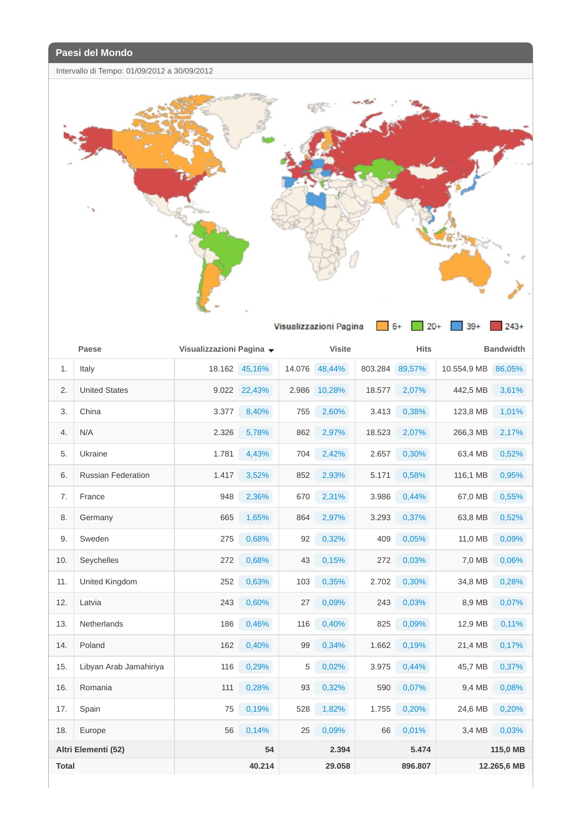Intervallo di Tempo: 01/09/2012 a 30/09/2012



|       | Paese                     | Visualizzazioni Pagina ▼ |               | <b>Visite</b> |        |         | <b>Hits</b> | <b>Bandwidth</b> |             |
|-------|---------------------------|--------------------------|---------------|---------------|--------|---------|-------------|------------------|-------------|
| 1.    | Italy                     |                          | 18.162 45,16% | 14.076        | 48,44% | 803.284 | 89,57%      | 10.554,9 MB      | 86,05%      |
| 2.    | <b>United States</b>      |                          | 9.022 22,43%  | 2.986         | 10,28% | 18.577  | 2,07%       | 442,5 MB         | 3,61%       |
| 3.    | China                     | 3.377                    | 8,40%         | 755           | 2,60%  | 3.413   | 0,38%       | 123,8 MB         | 1,01%       |
| 4.    | N/A                       | 2.326                    | 5,78%         | 862           | 2,97%  | 18.523  | 2,07%       | 266,3 MB         | 2,17%       |
| 5.    | Ukraine                   | 1.781                    | 4,43%         | 704           | 2,42%  | 2.657   | 0,30%       | 63,4 MB          | 0,52%       |
| 6.    | <b>Russian Federation</b> | 1.417                    | 3,52%         | 852           | 2,93%  | 5.171   | 0,58%       | 116,1 MB         | 0,95%       |
| 7.    | France                    | 948                      | 2,36%         | 670           | 2,31%  | 3.986   | 0,44%       | 67,0 MB          | 0,55%       |
| 8.    | Germany                   | 665                      | 1,65%         | 864           | 2,97%  | 3.293   | 0,37%       | 63,8 MB          | 0,52%       |
| 9.    | Sweden                    | 275                      | 0,68%         | 92            | 0,32%  | 409     | 0,05%       | 11,0 MB          | 0,09%       |
| 10.   | Seychelles                | 272                      | 0,68%         | 43            | 0,15%  | 272     | 0,03%       | 7,0 MB           | 0,06%       |
| 11.   | <b>United Kingdom</b>     | 252                      | 0,63%         | 103           | 0,35%  | 2.702   | 0,30%       | 34,8 MB          | 0,28%       |
| 12.   | Latvia                    | 243                      | 0,60%         | 27            | 0.09%  | 243     | 0,03%       | 8.9 MB           | 0,07%       |
| 13.   | <b>Netherlands</b>        | 186                      | 0,46%         | 116           | 0,40%  | 825     | 0.09%       | 12,9 MB          | 0,11%       |
| 14.   | Poland                    | 162                      | 0,40%         | 99            | 0,34%  | 1.662   | 0,19%       | 21,4 MB          | 0,17%       |
| 15.   | Libyan Arab Jamahiriya    | 116                      | 0,29%         | 5             | 0,02%  | 3.975   | 0,44%       | 45,7 MB          | 0,37%       |
| 16.   | Romania                   | 111                      | 0,28%         | 93            | 0,32%  | 590     | 0,07%       | 9,4 MB           | 0,08%       |
| 17.   | Spain                     | 75                       | 0,19%         | 528           | 1,82%  | 1.755   | 0,20%       | 24,6 MB          | 0,20%       |
| 18.   | Europe                    | 56                       | 0,14%         | 25            | 0,09%  | 66      | 0,01%       | 3.4 MB           | 0,03%       |
|       | Altri Elementi (52)       |                          | 54            |               | 2.394  |         | 5.474       |                  | 115,0 MB    |
| Total |                           |                          | 40.214        |               | 29.058 |         | 896.807     |                  | 12.265,6 MB |
|       |                           |                          |               |               |        |         |             |                  |             |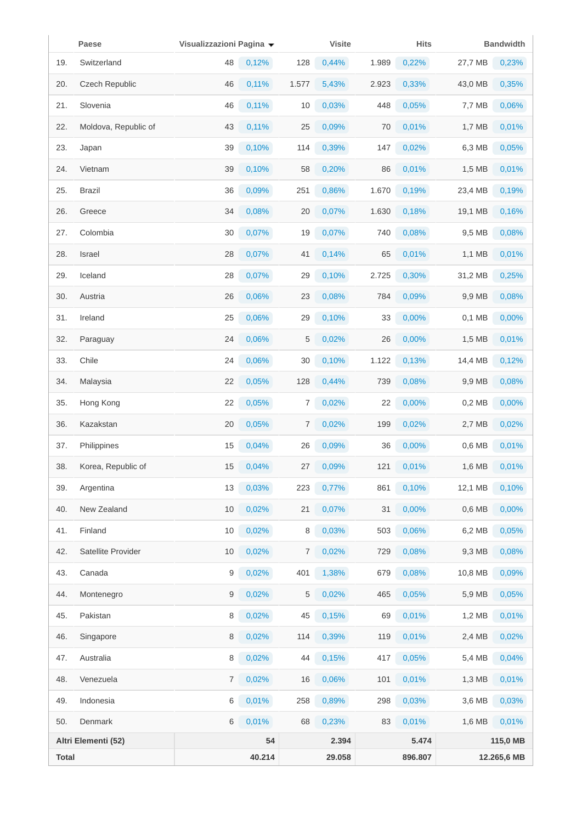|              | Paese                | Visualizzazioni Pagina v |        |       | <b>Visite</b> |       | <b>Hits</b> |          | <b>Bandwidth</b> |
|--------------|----------------------|--------------------------|--------|-------|---------------|-------|-------------|----------|------------------|
| 19.          | Switzerland          | 48                       | 0,12%  | 128   | 0,44%         | 1.989 | 0,22%       | 27,7 MB  | 0,23%            |
| 20.          | Czech Republic       | 46                       | 0,11%  | 1.577 | 5,43%         | 2.923 | 0,33%       | 43,0 MB  | 0,35%            |
| 21.          | Slovenia             | 46                       | 0,11%  | 10    | 0,03%         | 448   | 0,05%       | 7,7 MB   | 0,06%            |
| 22.          | Moldova, Republic of | 43                       | 0,11%  | 25    | 0,09%         | 70    | 0,01%       | 1,7 MB   | 0,01%            |
| 23.          | Japan                | 39                       | 0,10%  | 114   | 0,39%         | 147   | 0,02%       | 6,3 MB   | 0,05%            |
| 24.          | Vietnam              | 39                       | 0,10%  | 58    | 0,20%         | 86    | 0,01%       | 1,5 MB   | 0,01%            |
| 25.          | <b>Brazil</b>        | 36                       | 0,09%  | 251   | 0,86%         | 1.670 | 0,19%       | 23,4 MB  | 0,19%            |
| 26.          | Greece               | 34                       | 0,08%  | 20    | 0,07%         | 1.630 | 0,18%       | 19,1 MB  | 0,16%            |
| 27.          | Colombia             | 30                       | 0,07%  | 19    | 0,07%         | 740   | 0,08%       | 9,5 MB   | 0,08%            |
| 28.          | Israel               | 28                       | 0,07%  | 41    | 0,14%         | 65    | 0,01%       | 1,1 MB   | 0,01%            |
| 29.          | Iceland              | 28                       | 0,07%  | 29    | 0,10%         | 2.725 | 0,30%       | 31,2 MB  | 0,25%            |
| 30.          | Austria              | 26                       | 0,06%  | 23    | 0,08%         | 784   | 0,09%       | 9,9 MB   | 0,08%            |
| 31.          | Ireland              | 25                       | 0,06%  | 29    | 0,10%         | 33    | 0,00%       | 0,1 MB   | 0,00%            |
| 32.          | Paraguay             | 24                       | 0,06%  | 5     | 0,02%         | 26    | 0,00%       | 1,5 MB   | 0,01%            |
| 33.          | Chile                | 24                       | 0,06%  | 30    | 0,10%         | 1.122 | 0,13%       | 14,4 MB  | 0,12%            |
| 34.          | Malaysia             | 22                       | 0,05%  | 128   | 0,44%         | 739   | 0,08%       | 9,9 MB   | 0,08%            |
| 35.          | Hong Kong            | 22                       | 0,05%  | 7     | 0,02%         | 22    | 0,00%       | $0,2$ MB | 0,00%            |
| 36.          | Kazakstan            | 20                       | 0,05%  | 7     | 0,02%         | 199   | 0,02%       | 2,7 MB   | 0,02%            |
| 37.          | Philippines          | 15                       | 0,04%  | 26    | 0,09%         | 36    | 0,00%       | 0,6 MB   | 0,01%            |
| 38.          | Korea, Republic of   | 15                       | 0,04%  | 27    | 0,09%         | 121   | 0,01%       | 1,6 MB   | 0,01%            |
| 39.          | Argentina            | 13                       | 0,03%  | 223   | 0,77%         | 861   | 0,10%       | 12,1 MB  | 0,10%            |
| 40.          | New Zealand          | 10                       | 0,02%  | 21    | 0,07%         | 31    | 0,00%       | 0,6 MB   | 0,00%            |
| 41.          | Finland              | 10                       | 0,02%  | 8     | 0,03%         | 503   | 0,06%       | 6,2 MB   | 0,05%            |
| 42.          | Satellite Provider   | 10                       | 0,02%  | 7     | 0,02%         | 729   | 0,08%       | 9.3 MB   | 0,08%            |
| 43.          | Canada               | 9                        | 0,02%  | 401   | 1,38%         | 679   | 0,08%       | 10,8 MB  | 0,09%            |
| 44.          | Montenegro           | 9                        | 0,02%  | 5     | 0,02%         | 465   | 0,05%       | 5,9 MB   | 0,05%            |
| 45.          | Pakistan             | 8                        | 0,02%  | 45    | 0,15%         | 69    | 0,01%       | 1,2 MB   | 0,01%            |
| 46.          | Singapore            | 8                        | 0,02%  | 114   | 0,39%         | 119   | 0,01%       | 2,4 MB   | 0,02%            |
| 47.          | Australia            | 8                        | 0,02%  | 44    | 0,15%         | 417   | 0,05%       | 5,4 MB   | 0,04%            |
| 48.          | Venezuela            | $\overline{7}$           | 0,02%  | 16    | 0,06%         | 101   | 0,01%       | 1,3 MB   | 0,01%            |
| 49.          | Indonesia            | 6                        | 0,01%  | 258   | 0,89%         | 298   | 0,03%       | 3,6 MB   | 0,03%            |
| 50.          | Denmark              | 6                        | 0,01%  | 68    | 0,23%         | 83    | 0,01%       | 1,6 MB   | 0,01%            |
|              | Altri Elementi (52)  |                          | 54     |       | 2.394         |       | 5.474       |          | 115,0 MB         |
| <b>Total</b> |                      |                          | 40.214 |       | 29.058        |       | 896.807     |          | 12.265,6 MB      |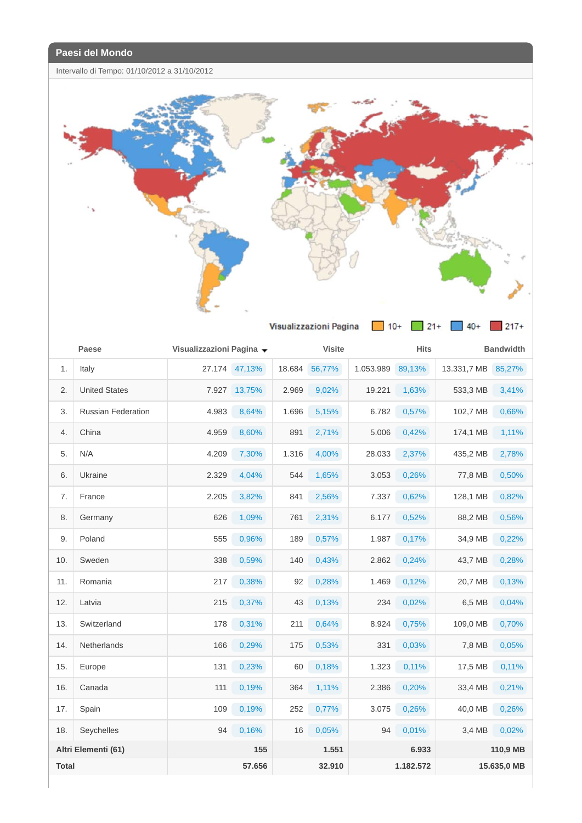Intervallo di Tempo: 01/10/2012 a 31/10/2012



|              | Paese                     | Visualizzazioni Pagina v |               |        | <b>Visite</b> |           | <b>Hits</b> |             | <b>Bandwidth</b> |
|--------------|---------------------------|--------------------------|---------------|--------|---------------|-----------|-------------|-------------|------------------|
| 1.           | Italy                     |                          | 27.174 47,13% | 18.684 | 56,77%        | 1.053.989 | 89,13%      | 13.331,7 MB | 85,27%           |
| 2.           | <b>United States</b>      | 7.927                    | 13,75%        | 2.969  | 9,02%         | 19.221    | 1,63%       | 533,3 MB    | 3,41%            |
| 3.           | <b>Russian Federation</b> | 4.983                    | 8,64%         | 1.696  | 5,15%         | 6.782     | 0,57%       | 102,7 MB    | 0,66%            |
| 4.           | China                     | 4.959                    | 8,60%         | 891    | 2,71%         | 5.006     | 0,42%       | 174,1 MB    | 1,11%            |
| 5.           | N/A                       | 4.209                    | 7,30%         | 1.316  | 4,00%         | 28.033    | 2,37%       | 435,2 MB    | 2,78%            |
| 6.           | Ukraine                   | 2.329                    | 4,04%         | 544    | 1,65%         | 3.053     | 0,26%       | 77,8 MB     | 0,50%            |
| 7.           | France                    | 2.205                    | 3,82%         | 841    | 2,56%         | 7.337     | 0,62%       | 128,1 MB    | 0,82%            |
| 8.           | Germany                   | 626                      | 1,09%         | 761    | 2,31%         | 6.177     | 0,52%       | 88,2 MB     | 0,56%            |
| 9.           | Poland                    | 555                      | 0,96%         | 189    | 0,57%         | 1.987     | 0,17%       | 34,9 MB     | 0,22%            |
| 10.          | Sweden                    | 338                      | 0,59%         | 140    | 0,43%         | 2.862     | 0,24%       | 43,7 MB     | 0,28%            |
| 11.          | Romania                   | 217                      | 0,38%         | 92     | 0,28%         | 1.469     | 0,12%       | 20,7 MB     | 0,13%            |
| 12.          | Latvia                    | 215                      | 0,37%         | 43     | 0,13%         | 234       | 0,02%       | 6,5 MB      | 0,04%            |
| 13.          | Switzerland               | 178                      | 0,31%         | 211    | 0,64%         | 8.924     | 0,75%       | 109,0 MB    | 0,70%            |
| 14.          | <b>Netherlands</b>        | 166                      | 0,29%         | 175    | 0,53%         | 331       | 0,03%       | 7,8 MB      | 0,05%            |
| 15.          | Europe                    | 131                      | 0,23%         | 60     | 0,18%         | 1.323     | 0,11%       | 17,5 MB     | 0,11%            |
| 16.          | Canada                    | 111                      | 0,19%         | 364    | 1,11%         | 2.386     | 0,20%       | 33,4 MB     | 0,21%            |
| 17.          | Spain                     | 109                      | 0,19%         | 252    | 0,77%         | 3.075     | 0,26%       | 40,0 MB     | 0,26%            |
| 18.          | Seychelles                | 94                       | 0,16%         | 16     | 0,05%         | 94        | 0,01%       | 3,4 MB      | 0,02%            |
|              | Altri Elementi (61)       |                          | 155           |        | 1.551         |           | 6.933       |             | 110,9 MB         |
| <b>Total</b> |                           |                          | 57.656        |        | 32.910        |           | 1.182.572   |             | 15.635,0 MB      |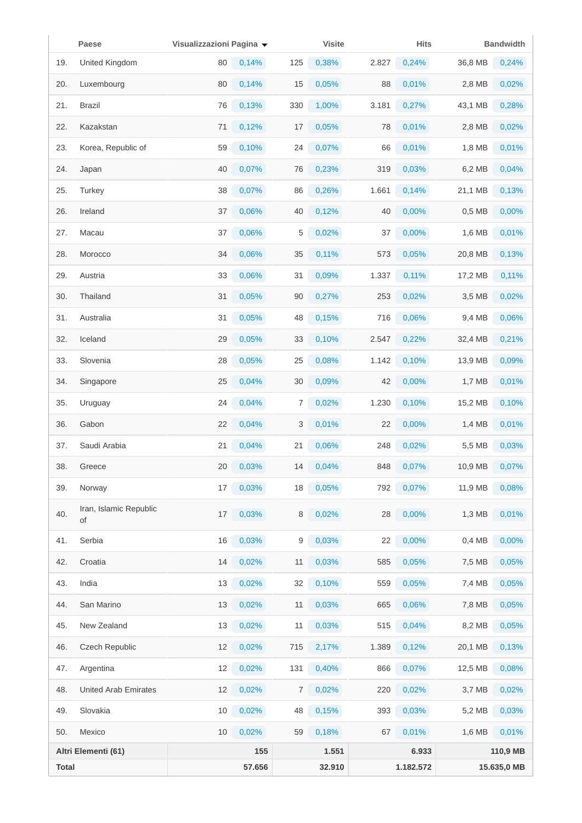|              | Paese                        | Visualizzazioni Pagina v |          |     | <b>Visite</b> |       | <b>Hits</b> |          | <b>Bandwidth</b> |
|--------------|------------------------------|--------------------------|----------|-----|---------------|-------|-------------|----------|------------------|
| 19.          | United Kingdom               | 80                       | 0,14%    | 125 | 0,38%         | 2.827 | 0,24%       | 36,8 MB  | 0,24%            |
| 20.          | Luxembourg                   | 80                       | 0,14%    | 15  | 0,05%         | 88    | 0,01%       | 2,8 MB   | 0,02%            |
| 21.          | <b>Brazil</b>                | 76                       | 0,13%    | 330 | 1,00%         | 3.181 | 0,27%       | 43,1 MB  | 0,28%            |
| 22.          | Kazakstan                    | 71                       | 0,12%    | 17  | 0,05%         | 78    | 0,01%       | 2,8 MB   | 0,02%            |
| 23.          | Korea, Republic of           | 59                       | 0,10%    | 24  | 0,07%         | 66    | 0,01%       | 1,8 MB   | 0,01%            |
| 24.          | Japan                        | 40                       | 0,07%    | 76  | 0,23%         | 319   | 0,03%       | 6,2 MB   | 0,04%            |
| 25.          | Turkey                       | 38                       | 0,07%    | 86  | 0,26%         | 1.661 | 0,14%       | 21,1 MB  | 0,13%            |
| 26.          | Ireland                      | 37                       | 0,06%    | 40  | 0,12%         | 40    | 0,00%       | $0,5$ MB | 0,00%            |
| 27.          | Macau                        | 37                       | 0,06%    | 5   | 0,02%         | 37    | 0,00%       | 1,6 MB   | 0,01%            |
| 28.          | Morocco                      | 34                       | 0,06%    | 35  | 0,11%         | 573   | 0,05%       | 20,8 MB  | 0,13%            |
| 29.          | Austria                      | 33                       | 0,06%    | 31  | 0,09%         | 1.337 | 0,11%       | 17,2 MB  | 0,11%            |
| 30.          | Thailand                     | 31                       | 0,05%    | 90  | 0,27%         | 253   | 0,02%       | 3,5 MB   | 0,02%            |
| 31.          | Australia                    | 31                       | 0,05%    | 48  | 0,15%         | 716   | 0,06%       | 9,4 MB   | 0,06%            |
| 32.          | Iceland                      | 29                       | 0,05%    | 33  | 0,10%         | 2.547 | 0,22%       | 32,4 MB  | 0,21%            |
| 33.          | Slovenia                     | 28                       | 0,05%    | 25  | 0,08%         | 1.142 | 0,10%       | 13,9 MB  | 0,09%            |
| 34.          | Singapore                    | 25                       | 0,04%    | 30  | 0,09%         | 42    | 0,00%       | 1,7 MB   | 0,01%            |
| 35.          | Uruguay                      | 24                       | 0,04%    | 7   | 0,02%         | 1.230 | 0,10%       | 15,2 MB  | 0,10%            |
| 36.          | Gabon                        | 22                       | 0,04%    | 3   | 0,01%         | 22    | 0,00%       | 1,4 MB   | 0,01%            |
| 37.          | Saudi Arabia                 | 21                       | 0,04%    | 21  | 0,06%         | 248   | 0,02%       | 5,5 MB   | 0,03%            |
| 38.          | Greece                       | 20                       | 0,03%    | 14  | 0,04%         | 848   | 0,07%       | 10,9 MB  | 0,07%            |
| 39.          | Norway                       | 17                       | 0,03%    | 18  | 0,05%         | 792   | 0,07%       | 11,9 MB  | 0,08%            |
| 40.          | Iran, Islamic Republic<br>of | 17                       | 0,03%    | 8   | 0,02%         | 28    | 0,00%       | 1,3 MB   | 0,01%            |
| 41.          | Serbia                       | 16                       | 0,03%    | 9   | 0,03%         | 22    | 0,00%       | 0,4 MB   | 0,00%            |
| 42.          | Croatia                      | 14                       | 0,02%    | 11  | 0,03%         | 585   | 0,05%       | 7,5 MB   | 0,05%            |
| 43.          | India                        | 13                       | $0,02\%$ | 32  | 0,10%         | 559   | 0,05%       | 7,4 MB   | 0,05%            |
| 44.          | San Marino                   | 13                       | 0,02%    | 11  | 0,03%         | 665   | 0,06%       | 7,8 MB   | 0,05%            |
| 45.          | New Zealand                  | 13                       | 0,02%    | 11  | 0,03%         | 515   | 0,04%       | 8,2 MB   | 0,05%            |
| 46.          | Czech Republic               | 12                       | 0,02%    | 715 | 2,17%         | 1.389 | 0,12%       | 20,1 MB  | 0,13%            |
| 47.          | Argentina                    | 12                       | $0,02\%$ | 131 | 0,40%         | 866   | 0,07%       | 12,5 MB  | 0,08%            |
| 48.          | <b>United Arab Emirates</b>  | 12                       | 0,02%    | 7   | 0,02%         | 220   | 0,02%       | 3,7 MB   | 0,02%            |
| 49.          | Slovakia                     | 10                       | $0,02\%$ | 48  | 0,15%         | 393   | 0,03%       | 5,2 MB   | 0,03%            |
| 50.          | Mexico                       | 10                       | 0,02%    | 59  | 0,18%         | 67    | 0,01%       | 1,6 MB   | 0,01%            |
|              | Altri Elementi (61)          |                          | 155      |     | 1.551         |       | 6.933       |          | 110,9 MB         |
| <b>Total</b> |                              |                          | 57.656   |     | 32.910        |       | 1.182.572   |          | 15.635,0 MB      |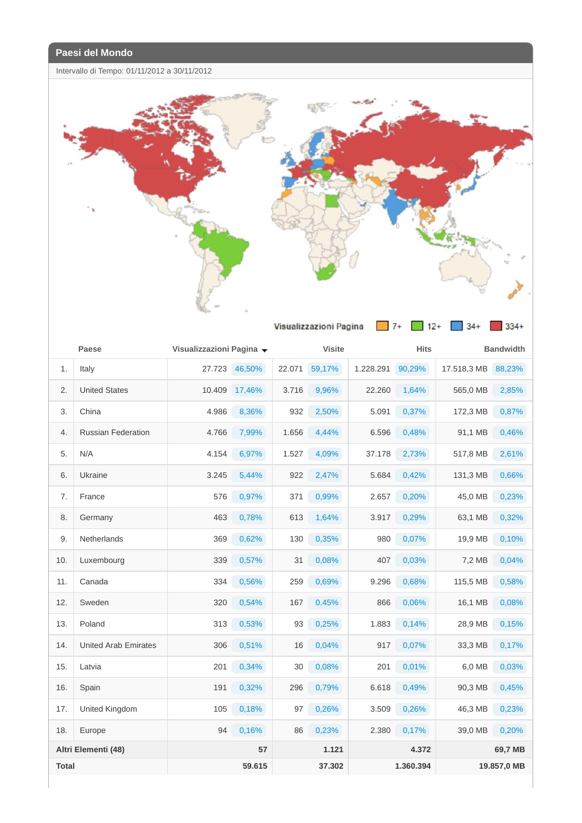Intervallo di Tempo: 01/11/2012 a 30/11/2012



|              | Paese<br>Visualizzazioni Pagina v |        |        |        |               |           |             |             |                  |
|--------------|-----------------------------------|--------|--------|--------|---------------|-----------|-------------|-------------|------------------|
|              |                                   |        |        |        | <b>Visite</b> |           | <b>Hits</b> |             | <b>Bandwidth</b> |
| 1.           | Italy                             | 27.723 | 46,50% | 22.071 | 59,17%        | 1.228.291 | 90,29%      | 17.518,3 MB | 88,23%           |
| 2.           | <b>United States</b>              | 10.409 | 17,46% | 3.716  | 9,96%         | 22.260    | 1,64%       | 565,0 MB    | 2,85%            |
| 3.           | China                             | 4.986  | 8,36%  | 932    | 2,50%         | 5.091     | 0,37%       | 172,3 MB    | 0,87%            |
| 4.           | <b>Russian Federation</b>         | 4.766  | 7,99%  | 1.656  | 4,44%         | 6.596     | 0,48%       | 91,1 MB     | 0,46%            |
| 5.           | N/A                               | 4.154  | 6,97%  | 1.527  | 4,09%         | 37.178    | 2,73%       | 517,8 MB    | 2,61%            |
| 6.           | Ukraine                           | 3.245  | 5,44%  | 922    | 2,47%         | 5.684     | 0,42%       | 131,3 MB    | 0,66%            |
| 7.           | France                            | 576    | 0,97%  | 371    | 0,99%         | 2.657     | 0,20%       | 45,0 MB     | 0,23%            |
| 8.           | Germany                           | 463    | 0,78%  | 613    | 1,64%         | 3.917     | 0,29%       | 63,1 MB     | 0,32%            |
| 9.           | <b>Netherlands</b>                | 369    | 0,62%  | 130    | 0,35%         | 980       | 0,07%       | 19,9 MB     | 0,10%            |
| 10.          | Luxembourg                        | 339    | 0,57%  | 31     | 0,08%         | 407       | 0,03%       | 7,2 MB      | 0,04%            |
| 11.          | Canada                            | 334    | 0,56%  | 259    | 0,69%         | 9.296     | 0,68%       | 115,5 MB    | 0,58%            |
| 12.          | Sweden                            | 320    | 0,54%  | 167    | 0,45%         | 866       | 0,06%       | 16,1 MB     | 0,08%            |
| 13.          | Poland                            | 313    | 0,53%  | 93     | 0,25%         | 1.883     | 0,14%       | 28,9 MB     | 0,15%            |
| 14.          | <b>United Arab Emirates</b>       | 306    | 0,51%  | 16     | 0,04%         | 917       | 0,07%       | 33,3 MB     | 0,17%            |
| 15.          | Latvia                            | 201    | 0,34%  | 30     | 0,08%         | 201       | 0,01%       | 6.0 MB      | 0,03%            |
| 16.          | Spain                             | 191    | 0,32%  | 296    | 0,79%         | 6.618     | 0,49%       | 90,3 MB     | 0,45%            |
| 17.          | United Kingdom                    | 105    | 0,18%  | 97     | 0,26%         | 3.509     | 0,26%       | 46,3 MB     | 0,23%            |
| 18.          | Europe                            | 94     | 0,16%  | 86     | 0,23%         | 2.380     | 0,17%       | 39,0 MB     | 0,20%            |
|              | Altri Elementi (48)               |        | 57     |        | 1.121         |           | 4.372       |             | 69,7 MB          |
| <b>Total</b> |                                   |        | 59.615 |        | 37.302        |           | 1.360.394   |             | 19.857,0 MB      |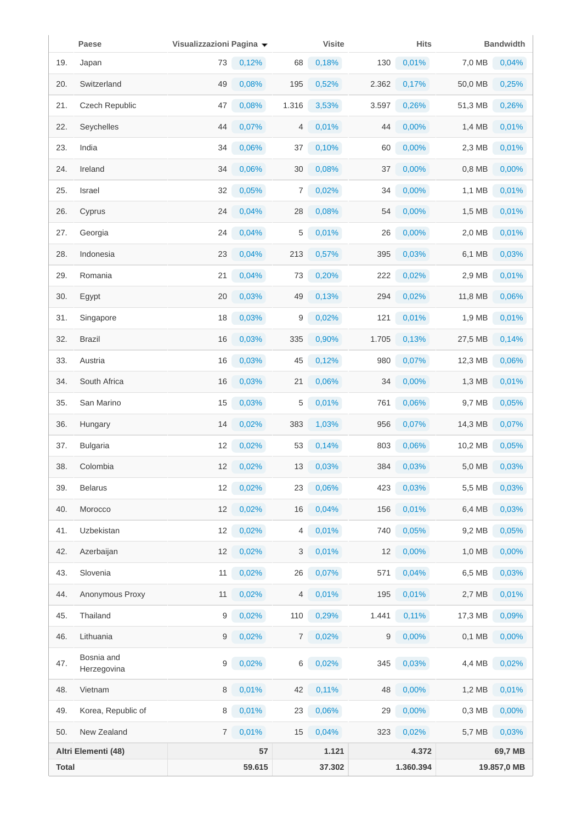|              | Paese                     | Visualizzazioni Pagina v |          |       | <b>Visite</b> |       | <b>Hits</b> |          | <b>Bandwidth</b> |
|--------------|---------------------------|--------------------------|----------|-------|---------------|-------|-------------|----------|------------------|
| 19.          | Japan                     | 73                       | 0,12%    | 68    | 0,18%         | 130   | 0,01%       | 7,0 MB   | 0,04%            |
| 20.          | Switzerland               | 49                       | 0,08%    | 195   | 0,52%         | 2.362 | 0,17%       | 50,0 MB  | 0,25%            |
| 21.          | Czech Republic            | 47                       | 0,08%    | 1.316 | 3,53%         | 3.597 | 0,26%       | 51,3 MB  | 0,26%            |
| 22.          | Seychelles                | 44                       | 0,07%    | 4     | 0,01%         | 44    | 0,00%       | 1,4 MB   | 0,01%            |
| 23.          | India                     | 34                       | 0,06%    | 37    | 0,10%         | 60    | 0,00%       | 2,3 MB   | 0,01%            |
| 24.          | Ireland                   | 34                       | 0,06%    | 30    | 0,08%         | 37    | 0,00%       | 0,8 MB   | 0,00%            |
| 25.          | Israel                    | 32                       | 0,05%    | 7     | 0,02%         | 34    | 0,00%       | 1,1 MB   | 0,01%            |
| 26.          | Cyprus                    | 24                       | 0,04%    | 28    | 0,08%         | 54    | 0,00%       | 1,5 MB   | 0,01%            |
| 27.          | Georgia                   | 24                       | 0,04%    | 5     | 0,01%         | 26    | 0,00%       | 2,0 MB   | 0,01%            |
| 28.          | Indonesia                 | 23                       | 0,04%    | 213   | 0,57%         | 395   | 0,03%       | 6,1 MB   | 0,03%            |
| 29.          | Romania                   | 21                       | 0,04%    | 73    | 0,20%         | 222   | 0,02%       | 2,9 MB   | 0,01%            |
| 30.          | Egypt                     | 20                       | 0,03%    | 49    | 0,13%         | 294   | 0,02%       | 11,8 MB  | 0,06%            |
| 31.          | Singapore                 | 18                       | 0,03%    | 9     | 0,02%         | 121   | 0,01%       | 1,9 MB   | 0,01%            |
| 32.          | <b>Brazil</b>             | 16                       | 0,03%    | 335   | 0,90%         | 1.705 | 0,13%       | 27,5 MB  | 0,14%            |
| 33.          | Austria                   | 16                       | 0,03%    | 45    | 0,12%         | 980   | 0,07%       | 12,3 MB  | 0,06%            |
| 34.          | South Africa              | 16                       | 0,03%    | 21    | 0,06%         | 34    | 0,00%       | 1,3 MB   | 0,01%            |
| 35.          | San Marino                | 15                       | 0,03%    | 5     | 0,01%         | 761   | 0,06%       | 9,7 MB   | 0,05%            |
| 36.          | Hungary                   | 14                       | 0,02%    | 383   | 1,03%         | 956   | 0,07%       | 14,3 MB  | 0,07%            |
| 37.          | <b>Bulgaria</b>           | 12                       | $0,02\%$ | 53    | 0,14%         | 803   | 0,06%       | 10,2 MB  | 0,05%            |
| 38.          | Colombia                  | 12                       | 0,02%    | 13    | 0,03%         | 384   | 0,03%       | 5,0 MB   | 0,03%            |
| 39.          | <b>Belarus</b>            | 12                       | 0,02%    | 23    | 0,06%         | 423   | 0,03%       | 5,5 MB   | 0,03%            |
| 40.          | Morocco                   | 12                       | 0,02%    | 16    | 0,04%         | 156   | 0,01%       | 6,4 MB   | 0,03%            |
| 41.          | Uzbekistan                | 12                       | 0,02%    | 4     | 0,01%         | 740   | 0,05%       | 9,2 MB   | 0,05%            |
| 42.          | Azerbaijan                | 12                       | 0,02%    | 3     | 0,01%         | 12    | 0,00%       | 1,0 MB   | 0,00%            |
| 43.          | Slovenia                  | 11                       | 0,02%    | 26    | 0,07%         | 571   | 0,04%       | 6,5 MB   | 0,03%            |
| 44.          | Anonymous Proxy           | 11                       | 0,02%    | 4     | 0,01%         | 195   | 0,01%       | 2,7 MB   | 0,01%            |
| 45.          | Thailand                  | 9                        | $0,02\%$ | 110   | 0,29%         | 1.441 | 0,11%       | 17,3 MB  | 0,09%            |
| 46.          | Lithuania                 | 9                        | 0,02%    | 7     | 0,02%         | 9     | 0,00%       | $0,1$ MB | 0,00%            |
| 47.          | Bosnia and<br>Herzegovina | 9                        | $0,02\%$ | 6     | 0,02%         | 345   | 0,03%       | 4,4 MB   | 0,02%            |
| 48.          | Vietnam                   | 8                        | 0,01%    | 42    | 0,11%         | 48    | 0,00%       | 1,2 MB   | 0,01%            |
| 49.          | Korea, Republic of        | 8                        | 0,01%    | 23    | 0,06%         | 29    | $0,00\%$    | 0,3 MB   | $0,00\%$         |
| 50.          | New Zealand               | $\overline{7}$           | 0,01%    | 15    | 0,04%         | 323   | 0,02%       | 5,7 MB   | 0,03%            |
|              | Altri Elementi (48)       |                          | 57       |       | 1.121         |       | 4.372       |          | 69,7 MB          |
| <b>Total</b> |                           |                          | 59.615   |       | 37.302        |       | 1.360.394   |          | 19.857,0 MB      |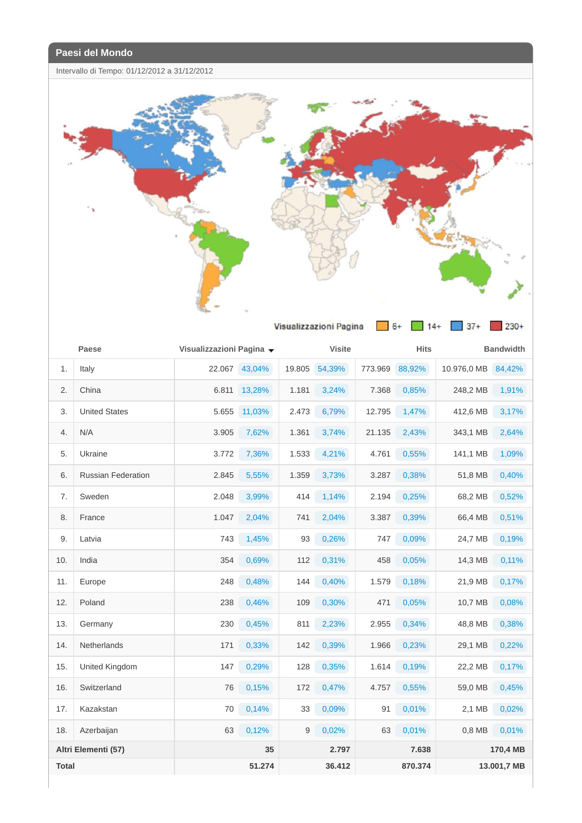Intervallo di Tempo: 01/12/2012 a 31/12/2012



|              | Paese                     | Visualizzazioni Pagina ▼ |               |        | <b>Visite</b> |         | <b>Hits</b> |             | <b>Bandwidth</b> |
|--------------|---------------------------|--------------------------|---------------|--------|---------------|---------|-------------|-------------|------------------|
| 1.           | Italy                     |                          | 22.067 43,04% | 19.805 | 54,39%        | 773.969 | 88,92%      | 10.976,0 MB | 84,42%           |
| 2.           | China                     | 6.811                    | 13,28%        | 1.181  | 3,24%         | 7.368   | 0,85%       | 248,2 MB    | 1,91%            |
| 3.           | <b>United States</b>      | 5.655                    | 11,03%        | 2.473  | 6,79%         | 12.795  | 1,47%       | 412,6 MB    | 3,17%            |
| 4.           | N/A                       | 3.905                    | 7,62%         | 1.361  | 3,74%         | 21.135  | 2,43%       | 343,1 MB    | 2,64%            |
| 5.           | Ukraine                   | 3.772                    | 7,36%         | 1.533  | 4,21%         | 4.761   | 0,55%       | 141,1 MB    | 1,09%            |
| 6.           | <b>Russian Federation</b> | 2.845                    | 5,55%         | 1.359  | 3,73%         | 3.287   | 0,38%       | 51,8 MB     | 0,40%            |
| 7.           | Sweden                    | 2.048                    | 3,99%         | 414    | 1,14%         | 2.194   | 0,25%       | 68,2 MB     | 0,52%            |
| 8.           | France                    | 1.047                    | 2,04%         | 741    | 2,04%         | 3.387   | 0,39%       | 66,4 MB     | 0,51%            |
| 9.           | Latvia                    | 743                      | 1,45%         | 93     | 0,26%         | 747     | 0,09%       | 24,7 MB     | 0,19%            |
| 10.          | India                     | 354                      | 0,69%         | 112    | 0,31%         | 458     | 0,05%       | 14,3 MB     | 0,11%            |
| 11.          | Europe                    | 248                      | 0,48%         | 144    | 0,40%         | 1.579   | 0,18%       | 21,9 MB     | 0,17%            |
| 12.          | Poland                    | 238                      | 0,46%         | 109    | 0,30%         | 471     | 0,05%       | 10,7 MB     | 0,08%            |
| 13.          | Germany                   | 230                      | 0,45%         | 811    | 2,23%         | 2.955   | 0,34%       | 48,8 MB     | 0,38%            |
| 14.          | Netherlands               | 171                      | 0,33%         | 142    | 0,39%         | 1.966   | 0,23%       | 29,1 MB     | 0,22%            |
| 15.          | United Kingdom            | 147                      | 0,29%         | 128    | 0,35%         | 1.614   | 0,19%       | 22,2 MB     | 0,17%            |
| 16.          | Switzerland               | 76                       | 0,15%         | 172    | 0,47%         | 4.757   | 0,55%       | 59,0 MB     | 0,45%            |
| 17.          | Kazakstan                 | 70                       | 0,14%         | 33     | 0,09%         | 91      | 0,01%       | 2,1 MB      | 0,02%            |
| 18.          | Azerbaijan                | 63                       | 0,12%         | 9      | 0,02%         | 63      | 0,01%       | 0.8 MB      | 0,01%            |
|              | Altri Elementi (57)       |                          | 35            |        | 2.797         |         | 7.638       |             | 170,4 MB         |
| <b>Total</b> |                           |                          | 51.274        |        | 36.412        |         | 870.374     |             | 13.001,7 MB      |